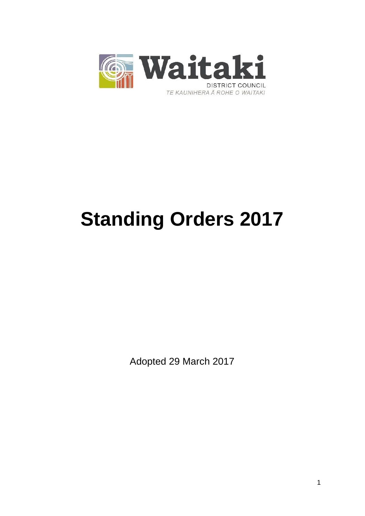

# **Standing Orders 2017**

Adopted 29 March 2017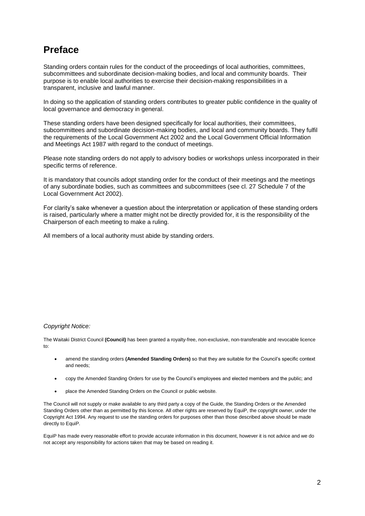## **Preface**

Standing orders contain rules for the conduct of the proceedings of local authorities, committees, subcommittees and subordinate decision-making bodies, and local and community boards. Their purpose is to enable local authorities to exercise their decision-making responsibilities in a transparent, inclusive and lawful manner.

In doing so the application of standing orders contributes to greater public confidence in the quality of local governance and democracy in general.

These standing orders have been designed specifically for local authorities, their committees, subcommittees and subordinate decision-making bodies, and local and community boards. They fulfil the requirements of the Local Government Act 2002 and the Local Government Official Information and Meetings Act 1987 with regard to the conduct of meetings.

Please note standing orders do not apply to advisory bodies or workshops unless incorporated in their specific terms of reference.

It is mandatory that councils adopt standing order for the conduct of their meetings and the meetings of any subordinate bodies, such as committees and subcommittees (see cl. 27 Schedule 7 of the Local Government Act 2002).

For clarity's sake whenever a question about the interpretation or application of these standing orders is raised, particularly where a matter might not be directly provided for, it is the responsibility of the Chairperson of each meeting to make a ruling.

All members of a local authority must abide by standing orders.

#### *Copyright Notice:*

The Waitaki District Council **(Council)** has been granted a royalty-free, non-exclusive, non-transferable and revocable licence to:

- amend the standing orders **(Amended Standing Orders)** so that they are suitable for the Council's specific context and needs;
- copy the Amended Standing Orders for use by the Council's employees and elected members and the public; and
- place the Amended Standing Orders on the Council or public website.

The Council will not supply or make available to any third party a copy of the Guide, the Standing Orders or the Amended Standing Orders other than as permitted by this licence. All other rights are reserved by EquiP, the copyright owner, under the Copyright Act 1994. Any request to use the standing orders for purposes other than those described above should be made directly to EquiP.

EquiP has made every reasonable effort to provide accurate information in this document, however it is not advice and we do not accept any responsibility for actions taken that may be based on reading it.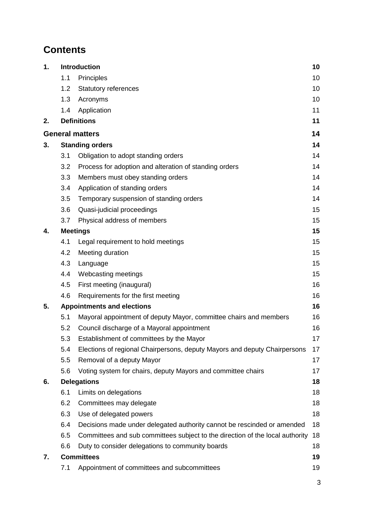# **Contents**

| 1. |                 | <b>Introduction</b>                                                           | 10 |
|----|-----------------|-------------------------------------------------------------------------------|----|
|    | 1.1             | Principles                                                                    | 10 |
|    | 1.2             | <b>Statutory references</b>                                                   | 10 |
|    | 1.3             | Acronyms                                                                      | 10 |
|    | 1.4             | Application                                                                   | 11 |
| 2. |                 | <b>Definitions</b>                                                            | 11 |
|    |                 | <b>General matters</b>                                                        | 14 |
| 3. |                 | <b>Standing orders</b>                                                        | 14 |
|    | 3.1             | Obligation to adopt standing orders                                           | 14 |
|    | 3.2             | Process for adoption and alteration of standing orders                        | 14 |
|    | 3.3             | Members must obey standing orders                                             | 14 |
|    | 3.4             | Application of standing orders                                                | 14 |
|    | 3.5             | Temporary suspension of standing orders                                       | 14 |
|    | 3.6             | Quasi-judicial proceedings                                                    | 15 |
|    | 3.7             | Physical address of members                                                   | 15 |
| 4. | <b>Meetings</b> |                                                                               | 15 |
|    | 4.1             | Legal requirement to hold meetings                                            | 15 |
|    | 4.2             | Meeting duration                                                              | 15 |
|    | 4.3             | Language                                                                      | 15 |
|    | 4.4             | Webcasting meetings                                                           | 15 |
|    | 4.5             | First meeting (inaugural)                                                     | 16 |
|    | 4.6             | Requirements for the first meeting                                            | 16 |
| 5. |                 | <b>Appointments and elections</b>                                             | 16 |
|    | 5.1             | Mayoral appointment of deputy Mayor, committee chairs and members             | 16 |
|    | 5.2             | Council discharge of a Mayoral appointment                                    | 16 |
|    | 5.3             | Establishment of committees by the Mayor                                      | 17 |
|    | 5.4             | Elections of regional Chairpersons, deputy Mayors and deputy Chairpersons     | 17 |
|    | 5.5             | Removal of a deputy Mayor                                                     | 17 |
|    | 5.6             | Voting system for chairs, deputy Mayors and committee chairs                  | 17 |
| 6. |                 | <b>Delegations</b>                                                            | 18 |
|    | 6.1             | Limits on delegations                                                         | 18 |
|    | 6.2             | Committees may delegate                                                       | 18 |
|    | 6.3             | Use of delegated powers                                                       | 18 |
|    | 6.4             | Decisions made under delegated authority cannot be rescinded or amended       | 18 |
|    | 6.5             | Committees and sub committees subject to the direction of the local authority | 18 |
|    | 6.6             | Duty to consider delegations to community boards                              | 18 |
| 7. |                 | <b>Committees</b>                                                             | 19 |
|    | 7.1             | Appointment of committees and subcommittees                                   | 19 |

3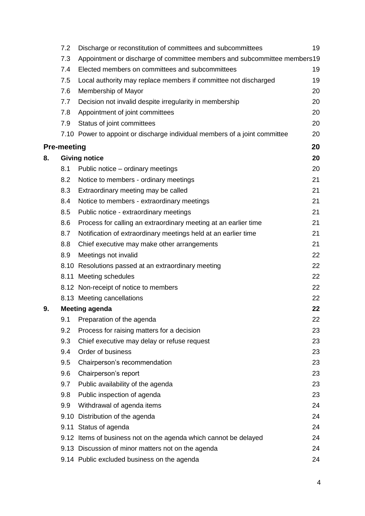|    | 7.2                | Discharge or reconstitution of committees and subcommittees                | 19 |
|----|--------------------|----------------------------------------------------------------------------|----|
|    | 7.3                | Appointment or discharge of committee members and subcommittee members19   |    |
|    | 7.4                | Elected members on committees and subcommittees                            | 19 |
|    | 7.5                | Local authority may replace members if committee not discharged            | 19 |
|    | 7.6                | Membership of Mayor                                                        | 20 |
|    | 7.7                | Decision not invalid despite irregularity in membership                    | 20 |
|    | 7.8                | Appointment of joint committees                                            | 20 |
|    | 7.9                | Status of joint committees                                                 | 20 |
|    |                    | 7.10 Power to appoint or discharge individual members of a joint committee | 20 |
|    | <b>Pre-meeting</b> |                                                                            | 20 |
| 8. |                    | <b>Giving notice</b>                                                       | 20 |
|    | 8.1                | Public notice – ordinary meetings                                          | 20 |
|    | 8.2                | Notice to members - ordinary meetings                                      | 21 |
|    | 8.3                | Extraordinary meeting may be called                                        | 21 |
|    | 8.4                | Notice to members - extraordinary meetings                                 | 21 |
|    | 8.5                | Public notice - extraordinary meetings                                     | 21 |
|    | 8.6                | Process for calling an extraordinary meeting at an earlier time            | 21 |
|    | 8.7                | Notification of extraordinary meetings held at an earlier time             | 21 |
|    | 8.8                | Chief executive may make other arrangements                                | 21 |
|    | 8.9                | Meetings not invalid                                                       | 22 |
|    |                    | 8.10 Resolutions passed at an extraordinary meeting                        | 22 |
|    |                    | 8.11 Meeting schedules                                                     | 22 |
|    |                    | 8.12 Non-receipt of notice to members                                      | 22 |
|    |                    | 8.13 Meeting cancellations                                                 | 22 |
| 9. |                    | <b>Meeting agenda</b>                                                      | 22 |
|    | 9.1                | Preparation of the agenda                                                  | 22 |
|    | 9.2                | Process for raising matters for a decision                                 | 23 |
|    | 9.3                | Chief executive may delay or refuse request                                | 23 |
|    | 9.4                | Order of business                                                          | 23 |
|    | 9.5                | Chairperson's recommendation                                               | 23 |
|    | 9.6                | Chairperson's report                                                       | 23 |
|    | 9.7                | Public availability of the agenda                                          | 23 |
|    | 9.8                | Public inspection of agenda                                                | 23 |
|    | 9.9                | Withdrawal of agenda items                                                 | 24 |
|    |                    | 9.10 Distribution of the agenda                                            | 24 |
|    |                    | 9.11 Status of agenda                                                      | 24 |
|    |                    | 9.12 Items of business not on the agenda which cannot be delayed           | 24 |
|    |                    | 9.13 Discussion of minor matters not on the agenda                         | 24 |
|    |                    | 9.14 Public excluded business on the agenda                                | 24 |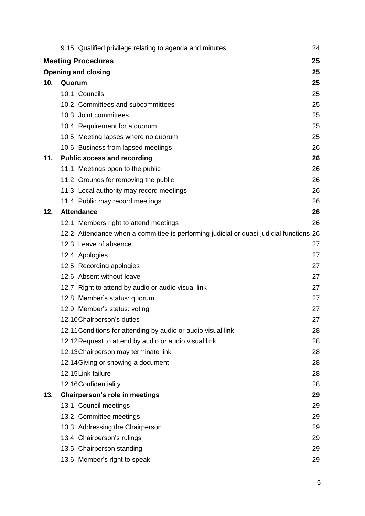|     | 9.15 Qualified privilege relating to agenda and minutes                                | 24 |
|-----|----------------------------------------------------------------------------------------|----|
|     | <b>Meeting Procedures</b>                                                              | 25 |
|     | <b>Opening and closing</b>                                                             | 25 |
| 10. | Quorum                                                                                 | 25 |
|     | 10.1 Councils                                                                          | 25 |
|     | 10.2 Committees and subcommittees                                                      | 25 |
|     | 10.3 Joint committees                                                                  | 25 |
|     | 10.4 Requirement for a quorum                                                          | 25 |
|     | 10.5 Meeting lapses where no quorum                                                    | 25 |
|     | 10.6 Business from lapsed meetings                                                     | 26 |
| 11. | <b>Public access and recording</b>                                                     | 26 |
|     | 11.1 Meetings open to the public                                                       | 26 |
|     | 11.2 Grounds for removing the public                                                   | 26 |
|     | 11.3 Local authority may record meetings                                               | 26 |
|     | 11.4 Public may record meetings                                                        | 26 |
| 12. | <b>Attendance</b>                                                                      | 26 |
|     | 12.1 Members right to attend meetings                                                  | 26 |
|     | 12.2 Attendance when a committee is performing judicial or quasi-judicial functions 26 |    |
|     | 12.3 Leave of absence                                                                  | 27 |
|     | 12.4 Apologies                                                                         | 27 |
|     | 12.5 Recording apologies                                                               | 27 |
|     | 12.6 Absent without leave                                                              | 27 |
|     | 12.7 Right to attend by audio or audio visual link                                     | 27 |
|     | 12.8 Member's status: quorum                                                           | 27 |
|     | 12.9 Member's status: voting                                                           | 27 |
|     | 12.10 Chairperson's duties                                                             | 27 |
|     | 12.11 Conditions for attending by audio or audio visual link                           | 28 |
|     | 12.12 Request to attend by audio or audio visual link                                  | 28 |
|     | 12.13 Chairperson may terminate link                                                   | 28 |
|     | 12.14 Giving or showing a document                                                     | 28 |
|     | 12.15Link failure                                                                      | 28 |
|     | 12.16Confidentiality                                                                   | 28 |
| 13. | Chairperson's role in meetings                                                         | 29 |
|     | 13.1 Council meetings                                                                  | 29 |
|     | 13.2 Committee meetings                                                                | 29 |
|     | 13.3 Addressing the Chairperson                                                        | 29 |
|     | 13.4 Chairperson's rulings                                                             | 29 |
|     | 13.5 Chairperson standing                                                              | 29 |
|     | 13.6 Member's right to speak                                                           | 29 |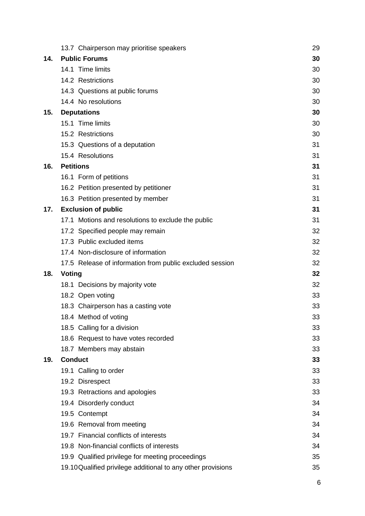|     | 13.7 Chairperson may prioritise speakers                                                                         | 29       |
|-----|------------------------------------------------------------------------------------------------------------------|----------|
| 14. | <b>Public Forums</b>                                                                                             | 30       |
|     | 14.1 Time limits                                                                                                 | 30       |
|     | 14.2 Restrictions                                                                                                | 30       |
|     | 14.3 Questions at public forums                                                                                  | 30       |
|     | 14.4 No resolutions                                                                                              | 30       |
| 15. | <b>Deputations</b>                                                                                               | 30       |
|     | 15.1 Time limits                                                                                                 | 30       |
|     | 15.2 Restrictions                                                                                                | 30       |
|     | 15.3 Questions of a deputation                                                                                   | 31       |
|     | 15.4 Resolutions                                                                                                 | 31       |
| 16. | <b>Petitions</b>                                                                                                 | 31       |
|     | 16.1 Form of petitions                                                                                           | 31       |
|     | 16.2 Petition presented by petitioner                                                                            | 31       |
|     | 16.3 Petition presented by member                                                                                | 31       |
| 17. | <b>Exclusion of public</b>                                                                                       | 31       |
|     | 17.1 Motions and resolutions to exclude the public                                                               | 31       |
|     | 17.2 Specified people may remain                                                                                 | 32       |
|     | 17.3 Public excluded items                                                                                       | 32       |
|     | 17.4 Non-disclosure of information                                                                               | 32       |
|     | 17.5 Release of information from public excluded session                                                         | 32       |
| 18. | <b>Voting</b>                                                                                                    | 32       |
|     | 18.1 Decisions by majority vote                                                                                  | 32       |
|     | 18.2 Open voting                                                                                                 | 33       |
|     | 18.3 Chairperson has a casting vote                                                                              | 33       |
|     | 18.4 Method of voting                                                                                            | 33       |
|     | 18.5 Calling for a division                                                                                      | 33       |
|     | 18.6 Request to have votes recorded                                                                              | 33       |
|     | 18.7 Members may abstain                                                                                         | 33       |
| 19. | <b>Conduct</b>                                                                                                   | 33       |
|     | 19.1 Calling to order                                                                                            | 33       |
|     | 19.2 Disrespect                                                                                                  | 33       |
|     | 19.3 Retractions and apologies                                                                                   | 33       |
|     | 19.4 Disorderly conduct                                                                                          | 34       |
|     | 19.5 Contempt                                                                                                    | 34       |
|     | 19.6 Removal from meeting                                                                                        | 34       |
|     | 19.7 Financial conflicts of interests                                                                            | 34       |
|     |                                                                                                                  |          |
|     | 19.8 Non-financial conflicts of interests                                                                        | 34       |
|     | 19.9 Qualified privilege for meeting proceedings<br>19.10 Qualified privilege additional to any other provisions | 35<br>35 |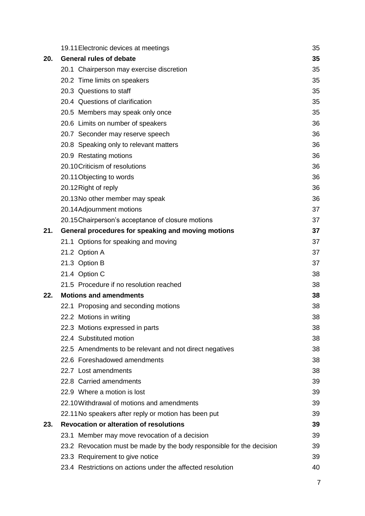|     | 19.11 Electronic devices at meetings                                  | 35 |
|-----|-----------------------------------------------------------------------|----|
| 20. | <b>General rules of debate</b>                                        | 35 |
|     | 20.1 Chairperson may exercise discretion                              | 35 |
|     | 20.2 Time limits on speakers                                          | 35 |
|     | 20.3 Questions to staff                                               | 35 |
|     | 20.4 Questions of clarification                                       | 35 |
|     | 20.5 Members may speak only once                                      | 35 |
|     | 20.6 Limits on number of speakers                                     | 36 |
|     | 20.7 Seconder may reserve speech                                      | 36 |
|     | 20.8 Speaking only to relevant matters                                | 36 |
|     | 20.9 Restating motions                                                | 36 |
|     | 20.10 Criticism of resolutions                                        | 36 |
|     | 20.11 Objecting to words                                              | 36 |
|     | 20.12 Right of reply                                                  | 36 |
|     | 20.13No other member may speak                                        | 36 |
|     | 20.14Adjournment motions                                              | 37 |
|     | 20.15 Chairperson's acceptance of closure motions                     | 37 |
| 21. | General procedures for speaking and moving motions                    | 37 |
|     | 21.1 Options for speaking and moving                                  | 37 |
|     | 21.2 Option A                                                         | 37 |
|     | 21.3 Option B                                                         | 37 |
|     | 21.4 Option C                                                         | 38 |
|     | 21.5 Procedure if no resolution reached                               | 38 |
| 22. | <b>Motions and amendments</b>                                         | 38 |
|     | 22.1 Proposing and seconding motions                                  | 38 |
|     | 22.2 Motions in writing                                               | 38 |
|     | 22.3 Motions expressed in parts                                       | 38 |
|     | 22.4 Substituted motion                                               | 38 |
|     | 22.5 Amendments to be relevant and not direct negatives               | 38 |
|     | 22.6 Foreshadowed amendments                                          | 38 |
|     | 22.7 Lost amendments                                                  | 38 |
|     | 22.8 Carried amendments                                               | 39 |
|     | 22.9 Where a motion is lost                                           | 39 |
|     | 22.10 Withdrawal of motions and amendments                            | 39 |
|     | 22.11 No speakers after reply or motion has been put                  | 39 |
| 23. | <b>Revocation or alteration of resolutions</b>                        | 39 |
|     | 23.1 Member may move revocation of a decision                         | 39 |
|     | 23.2 Revocation must be made by the body responsible for the decision | 39 |
|     | 23.3 Requirement to give notice                                       | 39 |
|     | 23.4 Restrictions on actions under the affected resolution            | 40 |

7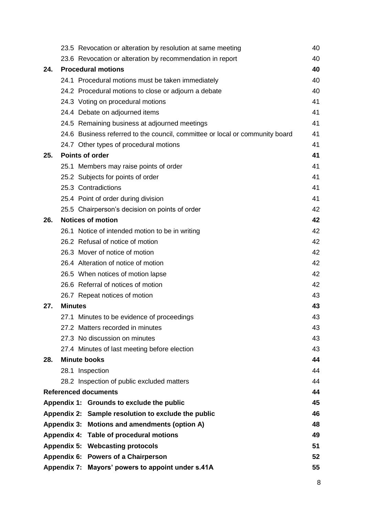|     | 23.5 Revocation or alteration by resolution at same meeting                  | 40 |
|-----|------------------------------------------------------------------------------|----|
|     | 23.6 Revocation or alteration by recommendation in report                    | 40 |
| 24. | <b>Procedural motions</b>                                                    | 40 |
|     | 24.1 Procedural motions must be taken immediately                            | 40 |
|     | 24.2 Procedural motions to close or adjourn a debate                         | 40 |
|     | 24.3 Voting on procedural motions                                            | 41 |
|     | 24.4 Debate on adjourned items                                               | 41 |
|     | 24.5 Remaining business at adjourned meetings                                | 41 |
|     | 24.6 Business referred to the council, committee or local or community board | 41 |
|     | 24.7 Other types of procedural motions                                       | 41 |
| 25. | <b>Points of order</b>                                                       | 41 |
|     | 25.1 Members may raise points of order                                       | 41 |
|     | 25.2 Subjects for points of order                                            | 41 |
|     | 25.3 Contradictions                                                          | 41 |
|     | 25.4 Point of order during division                                          | 41 |
|     | 25.5 Chairperson's decision on points of order                               | 42 |
| 26. | <b>Notices of motion</b>                                                     | 42 |
|     | 26.1 Notice of intended motion to be in writing                              | 42 |
|     | 26.2 Refusal of notice of motion                                             | 42 |
|     | 26.3 Mover of notice of motion                                               | 42 |
|     | 26.4 Alteration of notice of motion                                          | 42 |
|     | 26.5 When notices of motion lapse                                            | 42 |
|     | 26.6 Referral of notices of motion                                           | 42 |
|     | 26.7 Repeat notices of motion                                                | 43 |
| 27. | <b>Minutes</b>                                                               | 43 |
|     | 27.1 Minutes to be evidence of proceedings                                   | 43 |
|     | 27.2 Matters recorded in minutes                                             | 43 |
|     | 27.3 No discussion on minutes                                                | 43 |
|     | 27.4 Minutes of last meeting before election                                 | 43 |
| 28. | <b>Minute books</b>                                                          | 44 |
|     | 28.1 Inspection                                                              | 44 |
|     | 28.2 Inspection of public excluded matters                                   | 44 |
|     | <b>Referenced documents</b>                                                  | 44 |
|     | Appendix 1: Grounds to exclude the public                                    | 45 |
|     | Appendix 2: Sample resolution to exclude the public                          | 46 |
|     | Appendix 3: Motions and amendments (option A)                                | 48 |
|     | Appendix 4: Table of procedural motions                                      | 49 |
|     | <b>Appendix 5: Webcasting protocols</b>                                      | 51 |
|     | Appendix 6: Powers of a Chairperson                                          | 52 |
|     | Appendix 7: Mayors' powers to appoint under s.41A                            | 55 |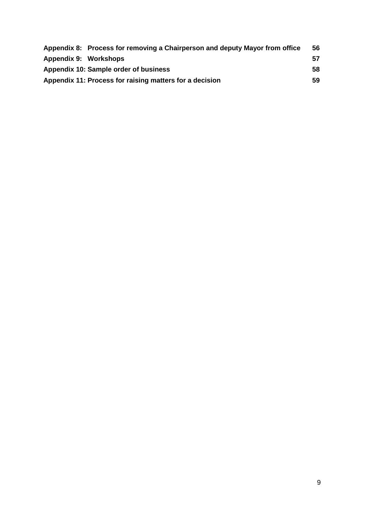| Appendix 8: Process for removing a Chairperson and deputy Mayor from office | 56 |
|-----------------------------------------------------------------------------|----|
| Appendix 9: Workshops                                                       | 57 |
| Appendix 10: Sample order of business                                       | 58 |
| Appendix 11: Process for raising matters for a decision                     | 59 |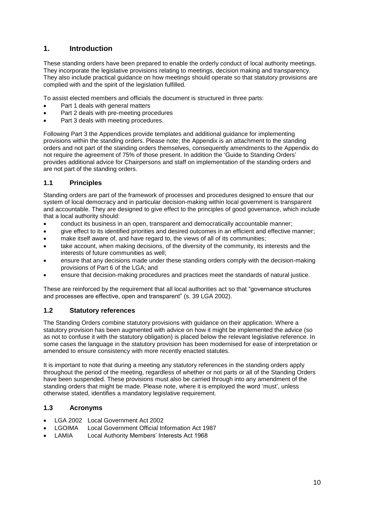## <span id="page-9-0"></span>**1. Introduction**

These standing orders have been prepared to enable the orderly conduct of local authority meetings. They incorporate the legislative provisions relating to meetings, decision making and transparency. They also include practical guidance on how meetings should operate so that statutory provisions are complied with and the spirit of the legislation fulfilled.

To assist elected members and officials the document is structured in three parts:

- Part 1 deals with general matters
- Part 2 deals with pre-meeting procedures
- Part 3 deals with meeting procedures.

Following Part 3 the Appendices provide templates and additional guidance for implementing provisions within the standing orders. Please note; the Appendix is an attachment to the standing orders and not part of the standing orders themselves, consequently amendments to the Appendix do not require the agreement of 75% of those present. In addition the 'Guide to Standing Orders' provides additional advice for Chairpersons and staff on implementation of the standing orders and are not part of the standing orders.

## <span id="page-9-1"></span>**1.1 Principles**

Standing orders are part of the framework of processes and procedures designed to ensure that our system of local democracy and in particular decision-making within local government is transparent and accountable. They are designed to give effect to the principles of good governance, which include that a local authority should:

- conduct its business in an open, transparent and democratically accountable manner;
- give effect to its identified priorities and desired outcomes in an efficient and effective manner;
- make itself aware of, and have regard to, the views of all of its communities;
- take account, when making decisions, of the diversity of the community, its interests and the interests of future communities as well;
- ensure that any decisions made under these standing orders comply with the decision-making provisions of Part 6 of the LGA; and
- ensure that decision-making procedures and practices meet the standards of natural justice.

These are reinforced by the requirement that all local authorities act so that "governance structures and processes are effective, open and transparent" (s. 39 LGA 2002).

#### <span id="page-9-2"></span>**1.2 Statutory references**

The Standing Orders combine statutory provisions with guidance on their application. Where a statutory provision has been augmented with advice on how it might be implemented the advice (so as not to confuse it with the statutory obligation) is placed below the relevant legislative reference. In some cases the language in the statutory provision has been modernised for ease of interpretation or amended to ensure consistency with more recently enacted statutes.

It is important to note that during a meeting any statutory references in the standing orders apply throughout the period of the meeting, regardless of whether or not parts or all of the Standing Orders have been suspended. These provisions must also be carried through into any amendment of the standing orders that might be made. Please note, where it is employed the word 'must', unless otherwise stated, identifies a mandatory legislative requirement.

#### <span id="page-9-3"></span>**1.3 Acronyms**

- LGA 2002 Local Government Act 2002
- LGOIMA Local Government Official Information Act 1987
- LAMIA Local Authority Members' Interests Act 1968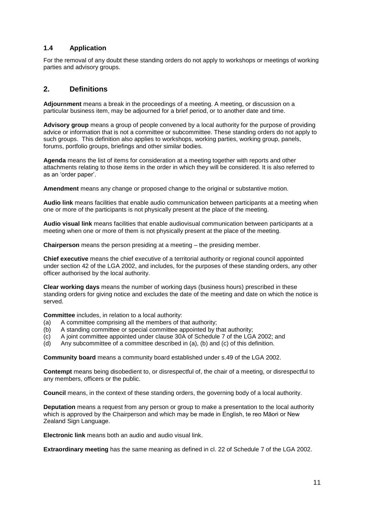## <span id="page-10-0"></span>**1.4 Application**

For the removal of any doubt these standing orders do not apply to workshops or meetings of working parties and advisory groups.

## <span id="page-10-1"></span>**2. Definitions**

**Adjournment** means a break in the proceedings of a meeting. A meeting, or discussion on a particular business item, may be adjourned for a brief period, or to another date and time.

**Advisory group** means a group of people convened by a local authority for the purpose of providing advice or information that is not a committee or subcommittee. These standing orders do not apply to such groups. This definition also applies to workshops, working parties, working group, panels, forums, portfolio groups, briefings and other similar bodies.

**Agenda** means the list of items for consideration at a meeting together with reports and other attachments relating to those items in the order in which they will be considered. It is also referred to as an 'order paper'.

**Amendment** means any change or proposed change to the original or substantive motion.

**Audio link** means facilities that enable audio communication between participants at a meeting when one or more of the participants is not physically present at the place of the meeting.

**Audio visual link** means facilities that enable audiovisual communication between participants at a meeting when one or more of them is not physically present at the place of the meeting.

**Chairperson** means the person presiding at a meeting – the presiding member.

**Chief executive** means the chief executive of a territorial authority or regional council appointed under section 42 of the LGA 2002, and includes, for the purposes of these standing orders, any other officer authorised by the local authority.

**Clear working days** means the number of working days (business hours) prescribed in these standing orders for giving notice and excludes the date of the meeting and date on which the notice is served.

**Committee** includes, in relation to a local authority:

- (a) A committee comprising all the members of that authority;
- (b) A standing committee or special committee appointed by that authority;
- (c) A joint committee appointed under clause 30A of Schedule 7 of the LGA 2002; and
- (d) Any subcommittee of a committee described in (a), (b) and (c) of this definition.

**Community board** means a community board established under s.49 of the LGA 2002.

**Contempt** means being disobedient to, or disrespectful of, the chair of a meeting, or disrespectful to any members, officers or the public.

**Council** means, in the context of these standing orders, the governing body of a local authority.

**Deputation** means a request from any person or group to make a presentation to the local authority which is approved by the Chairperson and which may be made in English, te reo Māori or New Zealand Sign Language.

**Electronic link** means both an audio and audio visual link.

**Extraordinary meeting** has the same meaning as defined in cl. 22 of Schedule 7 of the LGA 2002.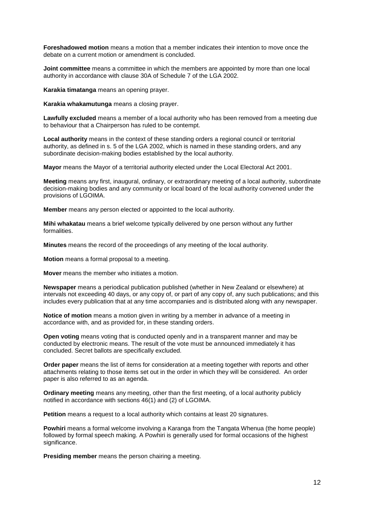**Foreshadowed motion** means a motion that a member indicates their intention to move once the debate on a current motion or amendment is concluded.

**Joint committee** means a committee in which the members are appointed by more than one local authority in accordance with clause 30A of Schedule 7 of the LGA 2002.

**Karakia timatanga** means an opening prayer.

**Karakia whakamutunga** means a closing prayer.

**Lawfully excluded** means a member of a local authority who has been removed from a meeting due to behaviour that a Chairperson has ruled to be contempt.

**Local authority** means in the context of these standing orders a regional council or territorial authority, as defined in s. 5 of the LGA 2002, which is named in these standing orders, and any subordinate decision-making bodies established by the local authority.

**Mayor** means the Mayor of a territorial authority elected under the Local Electoral Act 2001.

**Meeting** means any first, inaugural, ordinary, or extraordinary meeting of a local authority, subordinate decision-making bodies and any community or local board of the local authority convened under the provisions of LGOIMA.

**Member** means any person elected or appointed to the local authority.

**Mihi whakatau** means a brief welcome typically delivered by one person without any further formalities.

**Minutes** means the record of the proceedings of any meeting of the local authority.

**Motion** means a formal proposal to a meeting.

**Mover** means the member who initiates a motion.

**Newspaper** means a periodical publication published (whether in New Zealand or elsewhere) at intervals not exceeding 40 days, or any copy of, or part of any copy of, any such publications; and this includes every publication that at any time accompanies and is distributed along with any newspaper.

**Notice of motion** means a motion given in writing by a member in advance of a meeting in accordance with, and as provided for, in these standing orders.

**Open voting** means voting that is conducted openly and in a transparent manner and may be conducted by electronic means. The result of the vote must be announced immediately it has concluded. Secret ballots are specifically excluded.

**Order paper** means the list of items for consideration at a meeting together with reports and other attachments relating to those items set out in the order in which they will be considered. An order paper is also referred to as an agenda.

**Ordinary meeting** means any meeting, other than the first meeting, of a local authority publicly notified in accordance with sections 46(1) and (2) of LGOIMA.

**Petition** means a request to a local authority which contains at least 20 signatures.

**Powhiri** means a formal welcome involving a Karanga from the Tangata Whenua (the home people) followed by formal speech making. A Powhiri is generally used for formal occasions of the highest significance.

**Presiding member** means the person chairing a meeting.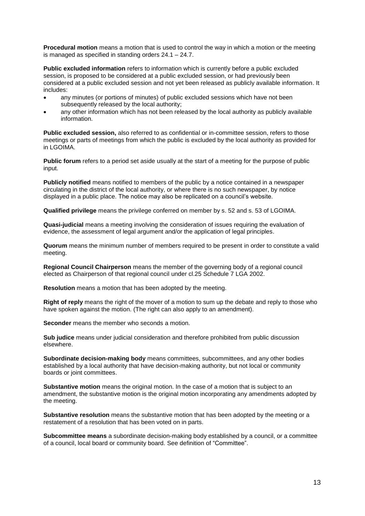**Procedural motion** means a motion that is used to control the way in which a motion or the meeting is managed as specified in standing orders 24.1 – 24.7.

**Public excluded information** refers to information which is currently before a public excluded session, is proposed to be considered at a public excluded session, or had previously been considered at a public excluded session and not yet been released as publicly available information. It includes:

- any minutes (or portions of minutes) of public excluded sessions which have not been subsequently released by the local authority;
- any other information which has not been released by the local authority as publicly available information.

**Public excluded session,** also referred to as confidential or in-committee session, refers to those meetings or parts of meetings from which the public is excluded by the local authority as provided for in LGOIMA.

**Public forum** refers to a period set aside usually at the start of a meeting for the purpose of public input.

**Publicly notified** means notified to members of the public by a notice contained in a newspaper circulating in the district of the local authority, or where there is no such newspaper, by notice displayed in a public place. The notice may also be replicated on a council's website.

**Qualified privilege** means the privilege conferred on member by s. 52 and s. 53 of LGOIMA.

**Quasi-judicial** means a meeting involving the consideration of issues requiring the evaluation of evidence, the assessment of legal argument and/or the application of legal principles.

**Quorum** means the minimum number of members required to be present in order to constitute a valid meeting.

**Regional Council Chairperson** means the member of the governing body of a regional council elected as Chairperson of that regional council under cl.25 Schedule 7 LGA 2002.

**Resolution** means a motion that has been adopted by the meeting.

**Right of reply** means the right of the mover of a motion to sum up the debate and reply to those who have spoken against the motion. (The right can also apply to an amendment).

**Seconder** means the member who seconds a motion.

**Sub judice** means under judicial consideration and therefore prohibited from public discussion elsewhere.

**Subordinate decision-making body** means committees, subcommittees, and any other bodies established by a local authority that have decision-making authority, but not local or community boards or joint committees.

**Substantive motion** means the original motion. In the case of a motion that is subject to an amendment, the substantive motion is the original motion incorporating any amendments adopted by the meeting.

**Substantive resolution** means the substantive motion that has been adopted by the meeting or a restatement of a resolution that has been voted on in parts.

**Subcommittee means** a subordinate decision-making body established by a council, or a committee of a council, local board or community board. See definition of "Committee".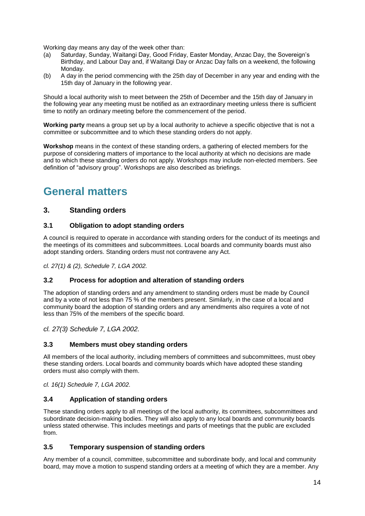Working day means any day of the week other than:

- (a) Saturday, Sunday, Waitangi Day, Good Friday, Easter Monday, Anzac Day, the Sovereign's Birthday, and Labour Day and, if Waitangi Day or Anzac Day falls on a weekend, the following Monday.
- (b) A day in the period commencing with the 25th day of December in any year and ending with the 15th day of January in the following year.

Should a local authority wish to meet between the 25th of December and the 15th day of January in the following year any meeting must be notified as an extraordinary meeting unless there is sufficient time to notify an ordinary meeting before the commencement of the period.

**Working party** means a group set up by a local authority to achieve a specific objective that is not a committee or subcommittee and to which these standing orders do not apply.

**Workshop** means in the context of these standing orders, a gathering of elected members for the purpose of considering matters of importance to the local authority at which no decisions are made and to which these standing orders do not apply. Workshops may include non-elected members. See definition of "advisory group". Workshops are also described as briefings.

# <span id="page-13-0"></span>**General matters**

## <span id="page-13-1"></span>**3. Standing orders**

#### <span id="page-13-2"></span>**3.1 Obligation to adopt standing orders**

A council is required to operate in accordance with standing orders for the conduct of its meetings and the meetings of its committees and subcommittees. Local boards and community boards must also adopt standing orders. Standing orders must not contravene any Act.

*cl. 27(1) & (2), Schedule 7, LGA 2002.*

#### <span id="page-13-3"></span>**3.2 Process for adoption and alteration of standing orders**

The adoption of standing orders and any amendment to standing orders must be made by Council and by a vote of not less than 75 % of the members present. Similarly, in the case of a local and community board the adoption of standing orders and any amendments also requires a vote of not less than 75% of the members of the specific board.

*cl. 27(3) Schedule 7, LGA 2002.*

#### <span id="page-13-4"></span>**3.3 Members must obey standing orders**

All members of the local authority, including members of committees and subcommittees, must obey these standing orders. Local boards and community boards which have adopted these standing orders must also comply with them.

*cl. 16(1) Schedule 7, LGA 2002.*

#### <span id="page-13-5"></span>**3.4 Application of standing orders**

These standing orders apply to all meetings of the local authority, its committees, subcommittees and subordinate decision-making bodies. They will also apply to any local boards and community boards unless stated otherwise. This includes meetings and parts of meetings that the public are excluded from.

#### <span id="page-13-6"></span>**3.5 Temporary suspension of standing orders**

Any member of a council, committee, subcommittee and subordinate body, and local and community board, may move a motion to suspend standing orders at a meeting of which they are a member. Any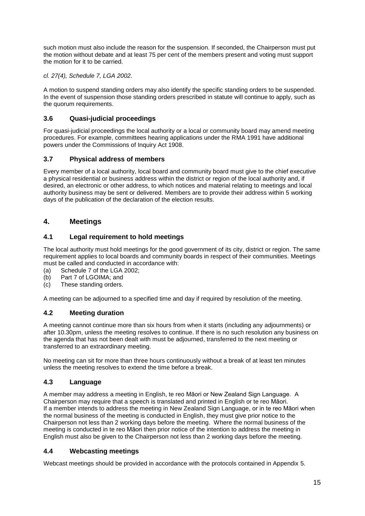such motion must also include the reason for the suspension. If seconded, the Chairperson must put the motion without debate and at least 75 per cent of the members present and voting must support the motion for it to be carried.

*cl. 27(4), Schedule 7, LGA 2002.*

A motion to suspend standing orders may also identify the specific standing orders to be suspended. In the event of suspension those standing orders prescribed in statute will continue to apply, such as the quorum requirements.

## <span id="page-14-0"></span>**3.6 Quasi-judicial proceedings**

For quasi-judicial proceedings the local authority or a local or community board may amend meeting procedures. For example, committees hearing applications under the RMA 1991 have additional powers under the Commissions of Inquiry Act 1908.

## <span id="page-14-1"></span>**3.7 Physical address of members**

Every member of a local authority, local board and community board must give to the chief executive a physical residential or business address within the district or region of the local authority and, if desired, an electronic or other address, to which notices and material relating to meetings and local authority business may be sent or delivered. Members are to provide their address within 5 working days of the publication of the declaration of the election results.

## <span id="page-14-2"></span>**4. Meetings**

## <span id="page-14-3"></span>**4.1 Legal requirement to hold meetings**

The local authority must hold meetings for the good government of its city, district or region. The same requirement applies to local boards and community boards in respect of their communities. Meetings must be called and conducted in accordance with:

- (a) Schedule 7 of the LGA 2002;
- (b) Part 7 of LGOIMA; and
- (c) These standing orders.

A meeting can be adjourned to a specified time and day if required by resolution of the meeting.

#### <span id="page-14-4"></span>**4.2 Meeting duration**

A meeting cannot continue more than six hours from when it starts (including any adjournments) or after 10.30pm, unless the meeting resolves to continue. If there is no such resolution any business on the agenda that has not been dealt with must be adjourned, transferred to the next meeting or transferred to an extraordinary meeting.

No meeting can sit for more than three hours continuously without a break of at least ten minutes unless the meeting resolves to extend the time before a break.

## <span id="page-14-5"></span>**4.3 Language**

A member may address a meeting in English, te reo Māori or New Zealand Sign Language. A Chairperson may require that a speech is translated and printed in English or te reo Māori. If a member intends to address the meeting in New Zealand Sign Language, or in te reo Māori when the normal business of the meeting is conducted in English, they must give prior notice to the Chairperson not less than 2 working days before the meeting. Where the normal business of the meeting is conducted in te reo Māori then prior notice of the intention to address the meeting in English must also be given to the Chairperson not less than 2 working days before the meeting.

## <span id="page-14-6"></span>**4.4 Webcasting meetings**

Webcast meetings should be provided in accordance with the protocols contained in Appendix 5.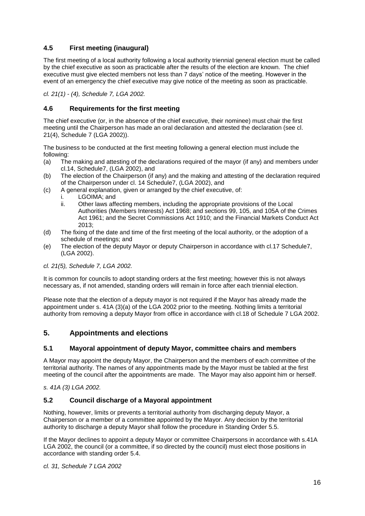## <span id="page-15-0"></span>**4.5 First meeting (inaugural)**

The first meeting of a local authority following a local authority triennial general election must be called by the chief executive as soon as practicable after the results of the election are known. The chief executive must give elected members not less than 7 days' notice of the meeting. However in the event of an emergency the chief executive may give notice of the meeting as soon as practicable.

*cl. 21(1) - (4), Schedule 7, LGA 2002.*

#### <span id="page-15-1"></span>**4.6 Requirements for the first meeting**

The chief executive (or, in the absence of the chief executive, their nominee) must chair the first meeting until the Chairperson has made an oral declaration and attested the declaration (see cl. 21(4), Schedule 7 (LGA 2002)).

The business to be conducted at the first meeting following a general election must include the following:

- (a) The making and attesting of the declarations required of the mayor (if any) and members under cl.14, Schedule7, (LGA 2002), and
- (b) The election of the Chairperson (if any) and the making and attesting of the declaration required of the Chairperson under cl. 14 Schedule7, (LGA 2002), and
- (c) A general explanation, given or arranged by the chief executive, of:
	- i. LGOIMA; and
	- ii. Other laws affecting members, including the appropriate provisions of the Local Authorities (Members Interests) Act 1968; and sections 99, 105, and 105A of the Crimes Act 1961; and the Secret Commissions Act 1910; and the Financial Markets Conduct Act 2013;
- (d) The fixing of the date and time of the first meeting of the local authority, or the adoption of a schedule of meetings; and
- (e) The election of the deputy Mayor or deputy Chairperson in accordance with cl.17 Schedule7, (LGA 2002).

#### *cl. 21(5), Schedule 7, LGA 2002.*

It is common for councils to adopt standing orders at the first meeting; however this is not always necessary as, if not amended, standing orders will remain in force after each triennial election.

Please note that the election of a deputy mayor is not required if the Mayor has already made the appointment under s. 41A (3)(a) of the LGA 2002 prior to the meeting. Nothing limits a territorial authority from removing a deputy Mayor from office in accordance with cl.18 of Schedule 7 LGA 2002.

## <span id="page-15-2"></span>**5. Appointments and elections**

#### <span id="page-15-3"></span>**5.1 Mayoral appointment of deputy Mayor, committee chairs and members**

A Mayor may appoint the deputy Mayor, the Chairperson and the members of each committee of the territorial authority. The names of any appointments made by the Mayor must be tabled at the first meeting of the council after the appointments are made. The Mayor may also appoint him or herself.

*s. 41A (3) LGA 2002.*

#### <span id="page-15-4"></span>**5.2 Council discharge of a Mayoral appointment**

Nothing, however, limits or prevents a territorial authority from discharging deputy Mayor, a Chairperson or a member of a committee appointed by the Mayor. Any decision by the territorial authority to discharge a deputy Mayor shall follow the procedure in Standing Order 5.5.

If the Mayor declines to appoint a deputy Mayor or committee Chairpersons in accordance with s.41A LGA 2002, the council (or a committee, if so directed by the council) must elect those positions in accordance with standing order 5.4.

*cl. 31, Schedule 7 LGA 2002*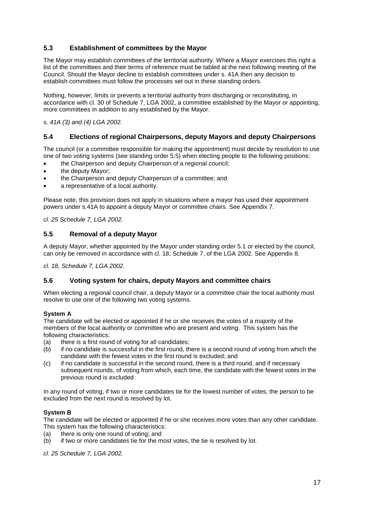## <span id="page-16-0"></span>**5.3 Establishment of committees by the Mayor**

The Mayor may establish committees of the territorial authority. Where a Mayor exercises this right a list of the committees and their terms of reference must be tabled at the next following meeting of the Council. Should the Mayor decline to establish committees under s. 41A then any decision to establish committees must follow the processes set out in these standing orders.

Nothing, however, limits or prevents a territorial authority from discharging or reconstituting, in accordance with cl. 30 of Schedule 7, LGA 2002, a committee established by the Mayor or appointing, more committees in addition to any established by the Mayor.

*s. 41A (3) and (4) LGA 2002.*

#### <span id="page-16-1"></span>**5.4 Elections of regional Chairpersons, deputy Mayors and deputy Chairpersons**

The council (or a committee responsible for making the appointment) must decide by resolution to use one of two voting systems (see standing order 5.5) when electing people to the following positions:

- the Chairperson and deputy Chairperson of a regional council;
- the deputy Mayor;
- the Chairperson and deputy Chairperson of a committee; and
- a representative of a local authority.

Please note, this provision does not apply in situations where a mayor has used their appointment powers under s.41A to appoint a deputy Mayor or committee chairs. See Appendix 7.

*cl. 25 Schedule 7, LGA 2002.*

#### <span id="page-16-2"></span>**5.5 Removal of a deputy Mayor**

A deputy Mayor, whether appointed by the Mayor under standing order 5.1 or elected by the council, can only be removed in accordance with cl. 18, Schedule 7, of the LGA 2002. See Appendix 8.

*cl. 18, Schedule 7, LGA 2002.*

#### <span id="page-16-3"></span>**5.6 Voting system for chairs, deputy Mayors and committee chairs**

When electing a regional council chair, a deputy Mayor or a committee chair the local authority must resolve to use one of the following two voting systems.

#### **System A**

The candidate will be elected or appointed if he or she receives the votes of a majority of the members of the local authority or committee who are present and voting. This system has the following characteristics:

- (a) there is a first round of voting for all candidates;
- (b) if no candidate is successful in the first round, there is a second round of voting from which the candidate with the fewest votes in the first round is excluded; and
- (c) if no candidate is successful in the second round, there is a third round, and if necessary subsequent rounds, of voting from which, each time, the candidate with the fewest votes in the previous round is excluded.

In any round of voting, if two or more candidates tie for the lowest number of votes, the person to be excluded from the next round is resolved by lot.

#### **System B**

The candidate will be elected or appointed if he or she receives more votes than any other candidate. This system has the following characteristics:

- (a) there is only one round of voting; and
- (b) if two or more candidates tie for the most votes, the tie is resolved by lot.

*cl. 25 Schedule 7, LGA 2002.*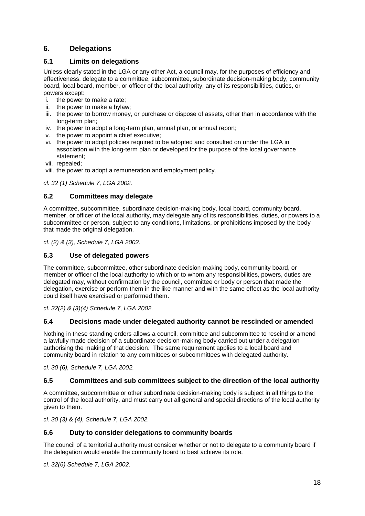## <span id="page-17-0"></span>**6. Delegations**

## <span id="page-17-1"></span>**6.1 Limits on delegations**

Unless clearly stated in the LGA or any other Act, a council may, for the purposes of efficiency and effectiveness, delegate to a committee, subcommittee, subordinate decision-making body, community board, local board, member, or officer of the local authority, any of its responsibilities, duties, or powers except:

- i. the power to make a rate;
- ii. the power to make a bylaw;
- iii. the power to borrow money, or purchase or dispose of assets, other than in accordance with the long-term plan;
- iv. the power to adopt a long-term plan, annual plan, or annual report;
- v. the power to appoint a chief executive;
- vi. the power to adopt policies required to be adopted and consulted on under the LGA in association with the long-term plan or developed for the purpose of the local governance statement;
- vii. repealed;
- viii. the power to adopt a remuneration and employment policy.

*cl. 32 (1) Schedule 7, LGA 2002.*

#### <span id="page-17-2"></span>**6.2 Committees may delegate**

A committee, subcommittee, subordinate decision-making body, local board, community board, member, or officer of the local authority, may delegate any of its responsibilities, duties, or powers to a subcommittee or person, subject to any conditions, limitations, or prohibitions imposed by the body that made the original delegation.

*cl. (2) & (3), Schedule 7, LGA 2002.*

#### <span id="page-17-3"></span>**6.3 Use of delegated powers**

The committee, subcommittee, other subordinate decision-making body, community board, or member or officer of the local authority to which or to whom any responsibilities, powers, duties are delegated may, without confirmation by the council, committee or body or person that made the delegation, exercise or perform them in the like manner and with the same effect as the local authority could itself have exercised or performed them.

*cl. 32(2) & (3)(4) Schedule 7, LGA 2002.*

#### <span id="page-17-4"></span>**6.4 Decisions made under delegated authority cannot be rescinded or amended**

Nothing in these standing orders allows a council, committee and subcommittee to rescind or amend a lawfully made decision of a subordinate decision-making body carried out under a delegation authorising the making of that decision. The same requirement applies to a local board and community board in relation to any committees or subcommittees with delegated authority.

*cl. 30 (6), Schedule 7, LGA 2002.*

#### <span id="page-17-5"></span>**6.5 Committees and sub committees subject to the direction of the local authority**

A committee, subcommittee or other subordinate decision-making body is subject in all things to the control of the local authority, and must carry out all general and special directions of the local authority given to them.

*cl. 30 (3) & (4), Schedule 7, LGA 2002.*

#### <span id="page-17-6"></span>**6.6 Duty to consider delegations to community boards**

The council of a territorial authority must consider whether or not to delegate to a community board if the delegation would enable the community board to best achieve its role.

*cl. 32(6) Schedule 7, LGA 2002.*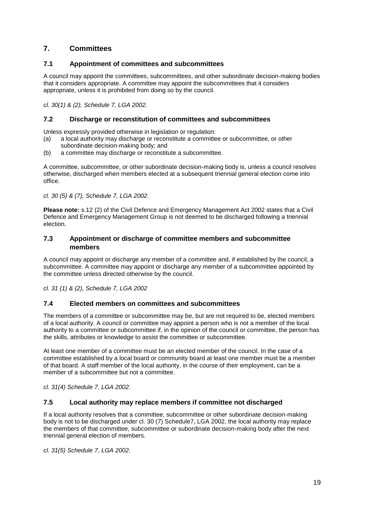## <span id="page-18-0"></span>**7. Committees**

#### <span id="page-18-1"></span>**7.1 Appointment of committees and subcommittees**

A council may appoint the committees, subcommittees, and other subordinate decision-making bodies that it considers appropriate. A committee may appoint the subcommittees that it considers appropriate, unless it is prohibited from doing so by the council.

*cl. 30(1) & (2), Schedule 7, LGA 2002.*

#### <span id="page-18-2"></span>**7.2 Discharge or reconstitution of committees and subcommittees**

Unless expressly provided otherwise in legislation or regulation:

- (a) a local authority may discharge or reconstitute a committee or subcommittee, or other subordinate decision-making body; and
- (b) a committee may discharge or reconstitute a subcommittee.

A committee, subcommittee, or other subordinate decision-making body is, unless a council resolves otherwise, discharged when members elected at a subsequent triennial general election come into office.

*cl. 30 (5) & (7), Schedule 7, LGA 2002.*

**Please note:** s.12 (2) of the Civil Defence and Emergency Management Act 2002 states that a Civil Defence and Emergency Management Group is not deemed to be discharged following a triennial election.

#### <span id="page-18-3"></span>**7.3 Appointment or discharge of committee members and subcommittee members**

A council may appoint or discharge any member of a committee and, if established by the council, a subcommittee. A committee may appoint or discharge any member of a subcommittee appointed by the committee unless directed otherwise by the council.

*cl. 31 (1) & (2), Schedule 7, LGA 2002*

#### <span id="page-18-4"></span>**7.4 Elected members on committees and subcommittees**

The members of a committee or subcommittee may be, but are not required to be, elected members of a local authority. A council or committee may appoint a person who is not a member of the local authority to a committee or subcommittee if, in the opinion of the council or committee, the person has the skills, attributes or knowledge to assist the committee or subcommittee.

At least one member of a committee must be an elected member of the council. In the case of a committee established by a local board or community board at least one member must be a member of that board. A staff member of the local authority, in the course of their employment, can be a member of a subcommittee but not a committee.

*cl. 31(4) Schedule 7, LGA 2002.*

#### <span id="page-18-5"></span>**7.5 Local authority may replace members if committee not discharged**

If a local authority resolves that a committee, subcommittee or other subordinate decision-making body is not to be discharged under cl. 30 (7) Schedule7, LGA 2002, the local authority may replace the members of that committee, subcommittee or subordinate decision-making body after the next triennial general election of members.

*cl. 31(5) Schedule 7, LGA 2002.*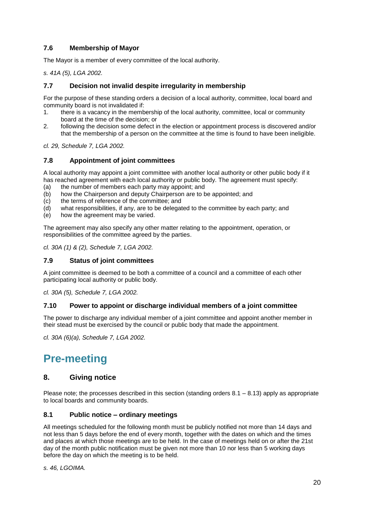## <span id="page-19-0"></span>**7.6 Membership of Mayor**

The Mayor is a member of every committee of the local authority.

*s. 41A (5), LGA 2002.*

#### <span id="page-19-1"></span>**7.7 Decision not invalid despite irregularity in membership**

For the purpose of these standing orders a decision of a local authority, committee, local board and community board is not invalidated if:

- 1. there is a vacancy in the membership of the local authority, committee, local or community board at the time of the decision; or
- 2. following the decision some defect in the election or appointment process is discovered and/or that the membership of a person on the committee at the time is found to have been ineligible.

*cl. 29, Schedule 7, LGA 2002.*

#### <span id="page-19-2"></span>**7.8 Appointment of joint committees**

A local authority may appoint a joint committee with another local authority or other public body if it has reached agreement with each local authority or public body. The agreement must specify:

- (a) the number of members each party may appoint; and
- (b) how the Chairperson and deputy Chairperson are to be appointed; and
- (c) the terms of reference of the committee; and
- (d) what responsibilities, if any, are to be delegated to the committee by each party; and
- (e) how the agreement may be varied.

The agreement may also specify any other matter relating to the appointment, operation, or responsibilities of the committee agreed by the parties.

*cl. 30A (1) & (2), Schedule 7, LGA 2002.*

#### <span id="page-19-3"></span>**7.9 Status of joint committees**

A joint committee is deemed to be both a committee of a council and a committee of each other participating local authority or public body.

*cl. 30A (5), Schedule 7, LGA 2002.*

#### <span id="page-19-4"></span>**7.10 Power to appoint or discharge individual members of a joint committee**

The power to discharge any individual member of a joint committee and appoint another member in their stead must be exercised by the council or public body that made the appointment.

*cl. 30A (6)(a), Schedule 7, LGA 2002.*

# <span id="page-19-5"></span>**Pre-meeting**

#### <span id="page-19-6"></span>**8. Giving notice**

Please note; the processes described in this section (standing orders  $8.1 - 8.13$ ) apply as appropriate to local boards and community boards.

#### <span id="page-19-7"></span>**8.1 Public notice – ordinary meetings**

All meetings scheduled for the following month must be publicly notified not more than 14 days and not less than 5 days before the end of every month, together with the dates on which and the times and places at which those meetings are to be held. In the case of meetings held on or after the 21st day of the month public notification must be given not more than 10 nor less than 5 working days before the day on which the meeting is to be held.

#### *s. 46, LGOIMA.*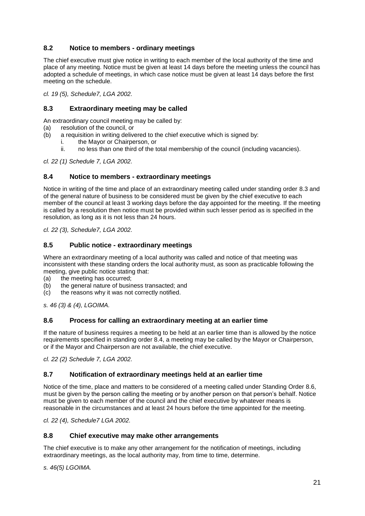## <span id="page-20-0"></span>**8.2 Notice to members - ordinary meetings**

The chief executive must give notice in writing to each member of the local authority of the time and place of any meeting. Notice must be given at least 14 days before the meeting unless the council has adopted a schedule of meetings, in which case notice must be given at least 14 days before the first meeting on the schedule.

*cl. 19 (5), Schedule7, LGA 2002.*

#### <span id="page-20-1"></span>**8.3 Extraordinary meeting may be called**

An extraordinary council meeting may be called by:

- (a) resolution of the council, or
- (b) a requisition in writing delivered to the chief executive which is signed by:
	- i. the Mayor or Chairperson, or
	- ii. no less than one third of the total membership of the council (including vacancies).

*cl. 22 (1) Schedule 7, LGA 2002.*

#### <span id="page-20-2"></span>**8.4 Notice to members - extraordinary meetings**

Notice in writing of the time and place of an extraordinary meeting called under standing order 8.3 and of the general nature of business to be considered must be given by the chief executive to each member of the council at least 3 working days before the day appointed for the meeting. If the meeting is called by a resolution then notice must be provided within such lesser period as is specified in the resolution, as long as it is not less than 24 hours.

*cl. 22 (3), Schedule7, LGA 2002.*

#### <span id="page-20-3"></span>**8.5 Public notice - extraordinary meetings**

Where an extraordinary meeting of a local authority was called and notice of that meeting was inconsistent with these standing orders the local authority must, as soon as practicable following the meeting, give public notice stating that:

- (a) the meeting has occurred;
- (b) the general nature of business transacted; and
- (c) the reasons why it was not correctly notified.

*s. 46 (3) & (4), LGOIMA.*

#### <span id="page-20-4"></span>**8.6 Process for calling an extraordinary meeting at an earlier time**

If the nature of business requires a meeting to be held at an earlier time than is allowed by the notice requirements specified in standing order 8.4, a meeting may be called by the Mayor or Chairperson, or if the Mayor and Chairperson are not available, the chief executive.

*cl. 22 (2) Schedule 7, LGA 2002.*

#### <span id="page-20-5"></span>**8.7 Notification of extraordinary meetings held at an earlier time**

Notice of the time, place and matters to be considered of a meeting called under Standing Order 8.6, must be given by the person calling the meeting or by another person on that person's behalf. Notice must be given to each member of the council and the chief executive by whatever means is reasonable in the circumstances and at least 24 hours before the time appointed for the meeting.

*cl. 22 (4), Schedule7 LGA 2002.*

#### <span id="page-20-6"></span>**8.8 Chief executive may make other arrangements**

The chief executive is to make any other arrangement for the notification of meetings, including extraordinary meetings, as the local authority may, from time to time, determine.

*s. 46(5) LGOIMA.*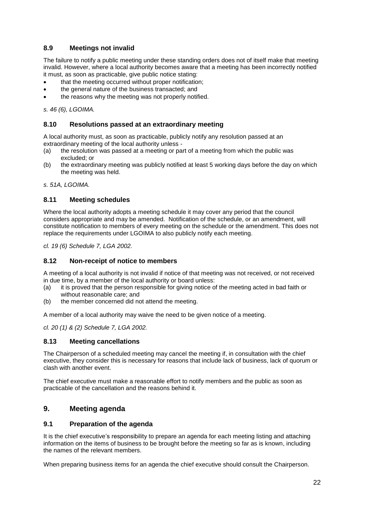## <span id="page-21-0"></span>**8.9 Meetings not invalid**

The failure to notify a public meeting under these standing orders does not of itself make that meeting invalid. However, where a local authority becomes aware that a meeting has been incorrectly notified it must, as soon as practicable, give public notice stating:

- that the meeting occurred without proper notification;
- the general nature of the business transacted; and
- the reasons why the meeting was not properly notified.

*s. 46 (6), LGOIMA.*

#### <span id="page-21-1"></span>**8.10 Resolutions passed at an extraordinary meeting**

A local authority must, as soon as practicable, publicly notify any resolution passed at an extraordinary meeting of the local authority unless -

- (a) the resolution was passed at a meeting or part of a meeting from which the public was excluded; or
- (b) the extraordinary meeting was publicly notified at least 5 working days before the day on which the meeting was held.

*s. 51A, LGOIMA.*

#### <span id="page-21-2"></span>**8.11 Meeting schedules**

Where the local authority adopts a meeting schedule it may cover any period that the council considers appropriate and may be amended. Notification of the schedule, or an amendment, will constitute notification to members of every meeting on the schedule or the amendment. This does not replace the requirements under LGOIMA to also publicly notify each meeting.

*cl. 19 (6) Schedule 7, LGA 2002.*

#### <span id="page-21-3"></span>**8.12 Non-receipt of notice to members**

A meeting of a local authority is not invalid if notice of that meeting was not received, or not received in due time, by a member of the local authority or board unless:

- (a) it is proved that the person responsible for giving notice of the meeting acted in bad faith or without reasonable care; and
- (b) the member concerned did not attend the meeting.

A member of a local authority may waive the need to be given notice of a meeting.

*cl. 20 (1) & (2) Schedule 7, LGA 2002.*

#### <span id="page-21-4"></span>**8.13 Meeting cancellations**

The Chairperson of a scheduled meeting may cancel the meeting if, in consultation with the chief executive, they consider this is necessary for reasons that include lack of business, lack of quorum or clash with another event.

The chief executive must make a reasonable effort to notify members and the public as soon as practicable of the cancellation and the reasons behind it.

#### <span id="page-21-5"></span>**9. Meeting agenda**

#### <span id="page-21-6"></span>**9.1 Preparation of the agenda**

It is the chief executive's responsibility to prepare an agenda for each meeting listing and attaching information on the items of business to be brought before the meeting so far as is known, including the names of the relevant members.

When preparing business items for an agenda the chief executive should consult the Chairperson.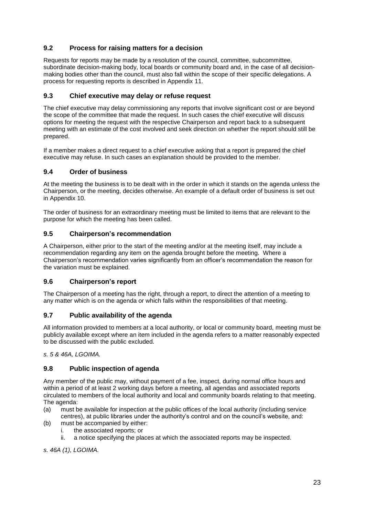## <span id="page-22-0"></span>**9.2 Process for raising matters for a decision**

Requests for reports may be made by a resolution of the council, committee, subcommittee, subordinate decision-making body, local boards or community board and, in the case of all decisionmaking bodies other than the council, must also fall within the scope of their specific delegations. A process for requesting reports is described in Appendix 11.

#### <span id="page-22-1"></span>**9.3 Chief executive may delay or refuse request**

The chief executive may delay commissioning any reports that involve significant cost or are beyond the scope of the committee that made the request. In such cases the chief executive will discuss options for meeting the request with the respective Chairperson and report back to a subsequent meeting with an estimate of the cost involved and seek direction on whether the report should still be prepared.

If a member makes a direct request to a chief executive asking that a report is prepared the chief executive may refuse. In such cases an explanation should be provided to the member.

#### <span id="page-22-2"></span>**9.4 Order of business**

At the meeting the business is to be dealt with in the order in which it stands on the agenda unless the Chairperson, or the meeting, decides otherwise. An example of a default order of business is set out in Appendix 10.

The order of business for an extraordinary meeting must be limited to items that are relevant to the purpose for which the meeting has been called.

#### <span id="page-22-3"></span>**9.5 Chairperson's recommendation**

A Chairperson, either prior to the start of the meeting and/or at the meeting itself, may include a recommendation regarding any item on the agenda brought before the meeting. Where a Chairperson's recommendation varies significantly from an officer's recommendation the reason for the variation must be explained.

#### <span id="page-22-4"></span>**9.6 Chairperson's report**

The Chairperson of a meeting has the right, through a report, to direct the attention of a meeting to any matter which is on the agenda or which falls within the responsibilities of that meeting.

## <span id="page-22-5"></span>**9.7 Public availability of the agenda**

All information provided to members at a local authority, or local or community board, meeting must be publicly available except where an item included in the agenda refers to a matter reasonably expected to be discussed with the public excluded.

*s. 5 & 46A, LGOIMA.*

#### <span id="page-22-6"></span>**9.8 Public inspection of agenda**

Any member of the public may, without payment of a fee, inspect, during normal office hours and within a period of at least 2 working days before a meeting, all agendas and associated reports circulated to members of the local authority and local and community boards relating to that meeting. The agenda:

- (a) must be available for inspection at the public offices of the local authority (including service centres), at public libraries under the authority's control and on the council's website, and:
- (b) must be accompanied by either:
	- i. the associated reports; or
	- ii. a notice specifying the places at which the associated reports may be inspected.

*s. 46A (1), LGOIMA.*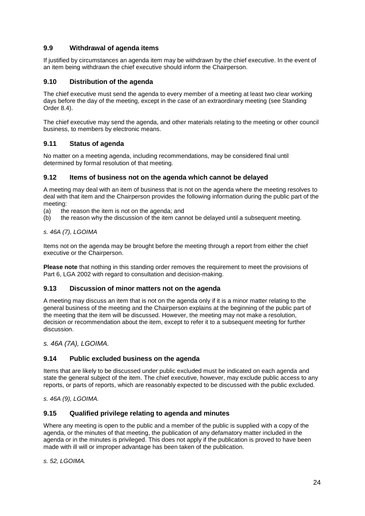## <span id="page-23-0"></span>**9.9 Withdrawal of agenda items**

If justified by circumstances an agenda item may be withdrawn by the chief executive. In the event of an item being withdrawn the chief executive should inform the Chairperson.

#### <span id="page-23-1"></span>**9.10 Distribution of the agenda**

The chief executive must send the agenda to every member of a meeting at least two clear working days before the day of the meeting, except in the case of an extraordinary meeting (see Standing Order 8.4).

The chief executive may send the agenda, and other materials relating to the meeting or other council business, to members by electronic means.

#### <span id="page-23-2"></span>**9.11 Status of agenda**

No matter on a meeting agenda, including recommendations, may be considered final until determined by formal resolution of that meeting.

#### <span id="page-23-3"></span>**9.12 Items of business not on the agenda which cannot be delayed**

A meeting may deal with an item of business that is not on the agenda where the meeting resolves to deal with that item and the Chairperson provides the following information during the public part of the meeting:

- (a) the reason the item is not on the agenda; and
- (b) the reason why the discussion of the item cannot be delayed until a subsequent meeting.

#### *s. 46A (7), LGOIMA*

Items not on the agenda may be brought before the meeting through a report from either the chief executive or the Chairperson.

**Please note** that nothing in this standing order removes the requirement to meet the provisions of Part 6, LGA 2002 with regard to consultation and decision-making.

#### <span id="page-23-4"></span>**9.13 Discussion of minor matters not on the agenda**

A meeting may discuss an item that is not on the agenda only if it is a minor matter relating to the general business of the meeting and the Chairperson explains at the beginning of the public part of the meeting that the item will be discussed. However, the meeting may not make a resolution, decision or recommendation about the item, except to refer it to a subsequent meeting for further discussion.

*s. 46A (7A), LGOIMA.*

#### <span id="page-23-5"></span>**9.14 Public excluded business on the agenda**

Items that are likely to be discussed under public excluded must be indicated on each agenda and state the general subject of the item. The chief executive, however, may exclude public access to any reports, or parts of reports, which are reasonably expected to be discussed with the public excluded.

*s. 46A (9), LGOIMA.*

#### <span id="page-23-6"></span>**9.15 Qualified privilege relating to agenda and minutes**

Where any meeting is open to the public and a member of the public is supplied with a copy of the agenda, or the minutes of that meeting, the publication of any defamatory matter included in the agenda or in the minutes is privileged. This does not apply if the publication is proved to have been made with ill will or improper advantage has been taken of the publication.

*s. 52, LGOIMA.*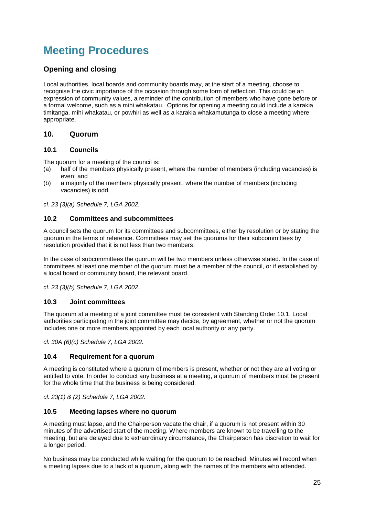# <span id="page-24-0"></span>**Meeting Procedures**

## <span id="page-24-1"></span>**Opening and closing**

Local authorities, local boards and community boards may, at the start of a meeting, choose to recognise the civic importance of the occasion through some form of reflection. This could be an expression of community values, a reminder of the contribution of members who have gone before or a formal welcome, such as a mihi whakatau. Options for opening a meeting could include a karakia timitanga, mihi whakatau, or powhiri as well as a karakia whakamutunga to close a meeting where appropriate.

## <span id="page-24-2"></span>**10. Quorum**

#### <span id="page-24-3"></span>**10.1 Councils**

The quorum for a meeting of the council is:

- (a) half of the members physically present, where the number of members (including vacancies) is even; and
- (b) a majority of the members physically present, where the number of members (including vacancies) is odd.

*cl. 23 (3)(a) Schedule 7, LGA 2002.*

#### <span id="page-24-4"></span>**10.2 Committees and subcommittees**

A council sets the quorum for its committees and subcommittees, either by resolution or by stating the quorum in the terms of reference. Committees may set the quorums for their subcommittees by resolution provided that it is not less than two members.

In the case of subcommittees the quorum will be two members unless otherwise stated. In the case of committees at least one member of the quorum must be a member of the council, or if established by a local board or community board, the relevant board.

*cl. 23 (3)(b) Schedule 7, LGA 2002.*

#### <span id="page-24-5"></span>**10.3 Joint committees**

The quorum at a meeting of a joint committee must be consistent with Standing Order 10.1. Local authorities participating in the joint committee may decide, by agreement, whether or not the quorum includes one or more members appointed by each local authority or any party.

*cl. 30A (6)(c) Schedule 7, LGA 2002.*

#### <span id="page-24-6"></span>**10.4 Requirement for a quorum**

A meeting is constituted where a quorum of members is present, whether or not they are all voting or entitled to vote. In order to conduct any business at a meeting, a quorum of members must be present for the whole time that the business is being considered.

*cl. 23(1) & (2) Schedule 7, LGA 2002.*

#### <span id="page-24-7"></span>**10.5 Meeting lapses where no quorum**

A meeting must lapse, and the Chairperson vacate the chair, if a quorum is not present within 30 minutes of the advertised start of the meeting. Where members are known to be travelling to the meeting, but are delayed due to extraordinary circumstance, the Chairperson has discretion to wait for a longer period.

No business may be conducted while waiting for the quorum to be reached. Minutes will record when a meeting lapses due to a lack of a quorum, along with the names of the members who attended.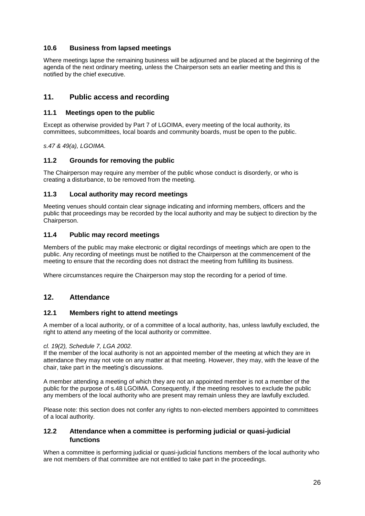## <span id="page-25-0"></span>**10.6 Business from lapsed meetings**

Where meetings lapse the remaining business will be adjourned and be placed at the beginning of the agenda of the next ordinary meeting, unless the Chairperson sets an earlier meeting and this is notified by the chief executive.

## <span id="page-25-1"></span>**11. Public access and recording**

#### <span id="page-25-2"></span>**11.1 Meetings open to the public**

Except as otherwise provided by Part 7 of LGOIMA, every meeting of the local authority, its committees, subcommittees, local boards and community boards, must be open to the public.

*s.47 & 49(a), LGOIMA.*

#### <span id="page-25-3"></span>**11.2 Grounds for removing the public**

The Chairperson may require any member of the public whose conduct is disorderly, or who is creating a disturbance, to be removed from the meeting.

#### <span id="page-25-4"></span>**11.3 Local authority may record meetings**

Meeting venues should contain clear signage indicating and informing members, officers and the public that proceedings may be recorded by the local authority and may be subject to direction by the Chairperson.

#### <span id="page-25-5"></span>**11.4 Public may record meetings**

Members of the public may make electronic or digital recordings of meetings which are open to the public. Any recording of meetings must be notified to the Chairperson at the commencement of the meeting to ensure that the recording does not distract the meeting from fulfilling its business.

Where circumstances require the Chairperson may stop the recording for a period of time.

#### <span id="page-25-6"></span>**12. Attendance**

#### <span id="page-25-7"></span>**12.1 Members right to attend meetings**

A member of a local authority, or of a committee of a local authority, has, unless lawfully excluded, the right to attend any meeting of the local authority or committee.

#### *cl. 19(2), Schedule 7, LGA 2002.*

If the member of the local authority is not an appointed member of the meeting at which they are in attendance they may not vote on any matter at that meeting. However, they may, with the leave of the chair, take part in the meeting's discussions.

A member attending a meeting of which they are not an appointed member is not a member of the public for the purpose of s.48 LGOIMA. Consequently, if the meeting resolves to exclude the public any members of the local authority who are present may remain unless they are lawfully excluded.

Please note: this section does not confer any rights to non-elected members appointed to committees of a local authority.

#### <span id="page-25-8"></span>**12.2 Attendance when a committee is performing judicial or quasi-judicial functions**

When a committee is performing judicial or quasi-judicial functions members of the local authority who are not members of that committee are not entitled to take part in the proceedings.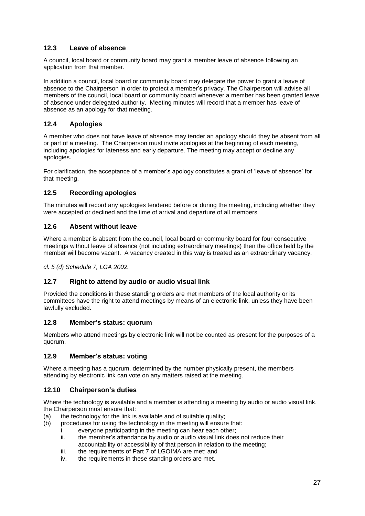## <span id="page-26-0"></span>**12.3 Leave of absence**

A council, local board or community board may grant a member leave of absence following an application from that member.

In addition a council, local board or community board may delegate the power to grant a leave of absence to the Chairperson in order to protect a member's privacy. The Chairperson will advise all members of the council, local board or community board whenever a member has been granted leave of absence under delegated authority. Meeting minutes will record that a member has leave of absence as an apology for that meeting.

## <span id="page-26-1"></span>**12.4 Apologies**

A member who does not have leave of absence may tender an apology should they be absent from all or part of a meeting. The Chairperson must invite apologies at the beginning of each meeting, including apologies for lateness and early departure. The meeting may accept or decline any apologies.

For clarification, the acceptance of a member's apology constitutes a grant of 'leave of absence' for that meeting.

#### <span id="page-26-2"></span>**12.5 Recording apologies**

The minutes will record any apologies tendered before or during the meeting, including whether they were accepted or declined and the time of arrival and departure of all members.

#### <span id="page-26-3"></span>**12.6 Absent without leave**

Where a member is absent from the council, local board or community board for four consecutive meetings without leave of absence (not including extraordinary meetings) then the office held by the member will become vacant. A vacancy created in this way is treated as an extraordinary vacancy.

*cl. 5 (d) Schedule 7, LGA 2002.*

#### <span id="page-26-4"></span>**12.7 Right to attend by audio or audio visual link**

Provided the conditions in these standing orders are met members of the local authority or its committees have the right to attend meetings by means of an electronic link, unless they have been lawfully excluded.

#### <span id="page-26-5"></span>**12.8 Member's status: quorum**

Members who attend meetings by electronic link will not be counted as present for the purposes of a quorum.

#### <span id="page-26-6"></span>**12.9 Member's status: voting**

Where a meeting has a quorum, determined by the number physically present, the members attending by electronic link can vote on any matters raised at the meeting.

#### <span id="page-26-7"></span>**12.10 Chairperson's duties**

Where the technology is available and a member is attending a meeting by audio or audio visual link, the Chairperson must ensure that:

- (a) the technology for the link is available and of suitable quality;
- (b) procedures for using the technology in the meeting will ensure that:
	- i. everyone participating in the meeting can hear each other;
	- ii. the member's attendance by audio or audio visual link does not reduce their accountability or accessibility of that person in relation to the meeting;
	- iii. the requirements of Part 7 of LGOIMA are met; and
	- iv. the requirements in these standing orders are met.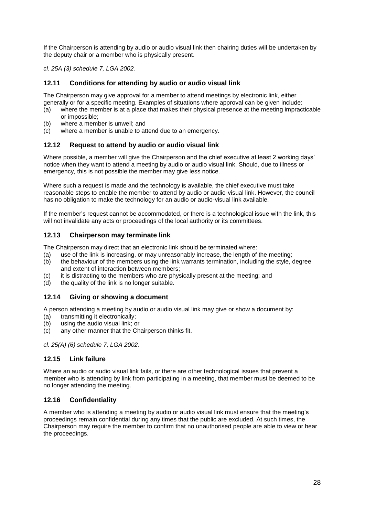If the Chairperson is attending by audio or audio visual link then chairing duties will be undertaken by the deputy chair or a member who is physically present.

*cl. 25A (3) schedule 7, LGA 2002.*

#### <span id="page-27-0"></span>**12.11 Conditions for attending by audio or audio visual link**

The Chairperson may give approval for a member to attend meetings by electronic link, either generally or for a specific meeting. Examples of situations where approval can be given include:

- (a) where the member is at a place that makes their physical presence at the meeting impracticable or impossible;
- (b) where a member is unwell; and
- (c) where a member is unable to attend due to an emergency.

#### <span id="page-27-1"></span>**12.12 Request to attend by audio or audio visual link**

Where possible, a member will give the Chairperson and the chief executive at least 2 working days' notice when they want to attend a meeting by audio or audio visual link. Should, due to illness or emergency, this is not possible the member may give less notice.

Where such a request is made and the technology is available, the chief executive must take reasonable steps to enable the member to attend by audio or audio-visual link. However, the council has no obligation to make the technology for an audio or audio-visual link available.

If the member's request cannot be accommodated, or there is a technological issue with the link, this will not invalidate any acts or proceedings of the local authority or its committees.

#### <span id="page-27-2"></span>**12.13 Chairperson may terminate link**

The Chairperson may direct that an electronic link should be terminated where:

- (a) use of the link is increasing, or may unreasonably increase, the length of the meeting;
- (b) the behaviour of the members using the link warrants termination, including the style, degree and extent of interaction between members;
- (c) it is distracting to the members who are physically present at the meeting; and
- (d) the quality of the link is no longer suitable.

#### <span id="page-27-3"></span>**12.14 Giving or showing a document**

A person attending a meeting by audio or audio visual link may give or show a document by:

- (a) transmitting it electronically;
- (b) using the audio visual link; or
- (c) any other manner that the Chairperson thinks fit.

*cl. 25(A) (6) schedule 7, LGA 2002.*

#### <span id="page-27-4"></span>**12.15 Link failure**

Where an audio or audio visual link fails, or there are other technological issues that prevent a member who is attending by link from participating in a meeting, that member must be deemed to be no longer attending the meeting.

#### <span id="page-27-5"></span>**12.16 Confidentiality**

A member who is attending a meeting by audio or audio visual link must ensure that the meeting's proceedings remain confidential during any times that the public are excluded. At such times, the Chairperson may require the member to confirm that no unauthorised people are able to view or hear the proceedings.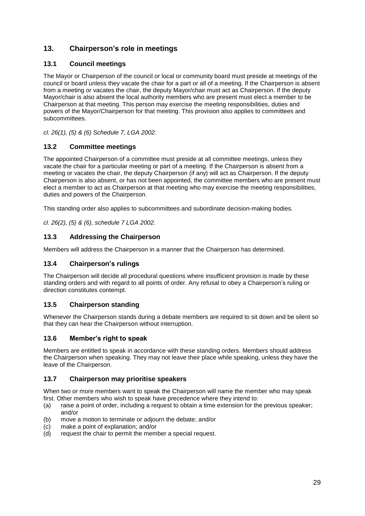## <span id="page-28-0"></span>**13. Chairperson's role in meetings**

## <span id="page-28-1"></span>**13.1 Council meetings**

The Mayor or Chairperson of the council or local or community board must preside at meetings of the council or board unless they vacate the chair for a part or all of a meeting. If the Chairperson is absent from a meeting or vacates the chair, the deputy Mayor/chair must act as Chairperson. If the deputy Mayor/chair is also absent the local authority members who are present must elect a member to be Chairperson at that meeting. This person may exercise the meeting responsibilities, duties and powers of the Mayor/Chairperson for that meeting. This provision also applies to committees and subcommittees.

*cl. 26(1), (5) & (6) Schedule 7, LGA 2002.*

## <span id="page-28-2"></span>**13.2 Committee meetings**

The appointed Chairperson of a committee must preside at all committee meetings, unless they vacate the chair for a particular meeting or part of a meeting. If the Chairperson is absent from a meeting or vacates the chair, the deputy Chairperson (if any) will act as Chairperson. If the deputy Chairperson is also absent, or has not been appointed, the committee members who are present must elect a member to act as Chairperson at that meeting who may exercise the meeting responsibilities, duties and powers of the Chairperson.

This standing order also applies to subcommittees and subordinate decision-making bodies.

*cl. 26(2), (5) & (6), schedule 7 LGA 2002.*

## <span id="page-28-3"></span>**13.3 Addressing the Chairperson**

Members will address the Chairperson in a manner that the Chairperson has determined.

#### <span id="page-28-4"></span>**13.4 Chairperson's rulings**

The Chairperson will decide all procedural questions where insufficient provision is made by these standing orders and with regard to all points of order. Any refusal to obey a Chairperson's ruling or direction constitutes contempt.

#### <span id="page-28-5"></span>**13.5 Chairperson standing**

Whenever the Chairperson stands during a debate members are required to sit down and be silent so that they can hear the Chairperson without interruption.

## <span id="page-28-6"></span>**13.6 Member's right to speak**

Members are entitled to speak in accordance with these standing orders. Members should address the Chairperson when speaking. They may not leave their place while speaking, unless they have the leave of the Chairperson.

#### <span id="page-28-7"></span>**13.7 Chairperson may prioritise speakers**

When two or more members want to speak the Chairperson will name the member who may speak first. Other members who wish to speak have precedence where they intend to:

- (a) raise a point of order, including a request to obtain a time extension for the previous speaker; and/or
- (b) move a motion to terminate or adjourn the debate; and/or
- (c) make a point of explanation; and/or
- (d) request the chair to permit the member a special request.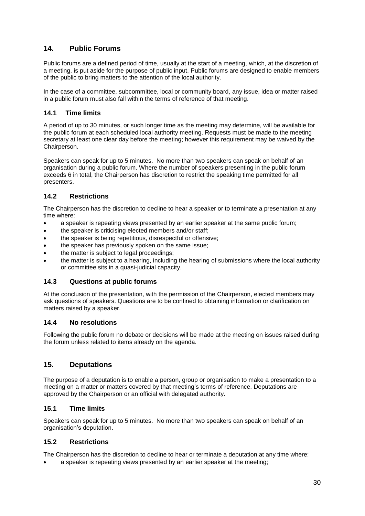## <span id="page-29-0"></span>**14. Public Forums**

Public forums are a defined period of time, usually at the start of a meeting, which, at the discretion of a meeting, is put aside for the purpose of public input. Public forums are designed to enable members of the public to bring matters to the attention of the local authority.

In the case of a committee, subcommittee, local or community board, any issue, idea or matter raised in a public forum must also fall within the terms of reference of that meeting.

#### <span id="page-29-1"></span>**14.1 Time limits**

A period of up to 30 minutes, or such longer time as the meeting may determine, will be available for the public forum at each scheduled local authority meeting. Requests must be made to the meeting secretary at least one clear day before the meeting; however this requirement may be waived by the Chairperson.

Speakers can speak for up to 5 minutes. No more than two speakers can speak on behalf of an organisation during a public forum. Where the number of speakers presenting in the public forum exceeds 6 in total, the Chairperson has discretion to restrict the speaking time permitted for all presenters.

#### <span id="page-29-2"></span>**14.2 Restrictions**

The Chairperson has the discretion to decline to hear a speaker or to terminate a presentation at any time where:

- a speaker is repeating views presented by an earlier speaker at the same public forum;
- the speaker is criticising elected members and/or staff;
- the speaker is being repetitious, disrespectful or offensive;
- the speaker has previously spoken on the same issue;
- the matter is subject to legal proceedings;
- the matter is subject to a hearing, including the hearing of submissions where the local authority or committee sits in a quasi-judicial capacity.

#### <span id="page-29-3"></span>**14.3 Questions at public forums**

At the conclusion of the presentation, with the permission of the Chairperson, elected members may ask questions of speakers. Questions are to be confined to obtaining information or clarification on matters raised by a speaker.

#### <span id="page-29-4"></span>**14.4 No resolutions**

Following the public forum no debate or decisions will be made at the meeting on issues raised during the forum unless related to items already on the agenda.

## <span id="page-29-5"></span>**15. Deputations**

The purpose of a deputation is to enable a person, group or organisation to make a presentation to a meeting on a matter or matters covered by that meeting's terms of reference. Deputations are approved by the Chairperson or an official with delegated authority.

#### <span id="page-29-6"></span>**15.1 Time limits**

Speakers can speak for up to 5 minutes. No more than two speakers can speak on behalf of an organisation's deputation.

#### <span id="page-29-7"></span>**15.2 Restrictions**

The Chairperson has the discretion to decline to hear or terminate a deputation at any time where:

a speaker is repeating views presented by an earlier speaker at the meeting;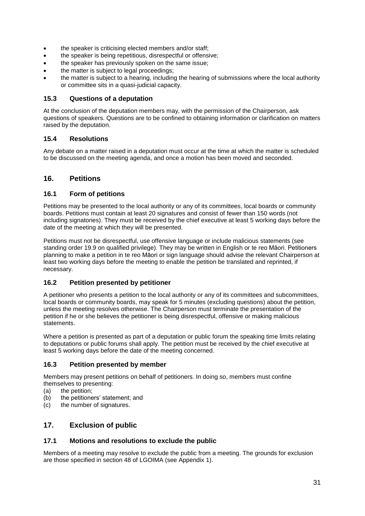- the speaker is criticising elected members and/or staff;
- the speaker is being repetitious, disrespectful or offensive:
- the speaker has previously spoken on the same issue;
- the matter is subject to legal proceedings;
- the matter is subject to a hearing, including the hearing of submissions where the local authority or committee sits in a quasi-judicial capacity.

#### <span id="page-30-0"></span>**15.3 Questions of a deputation**

At the conclusion of the deputation members may, with the permission of the Chairperson, ask questions of speakers. Questions are to be confined to obtaining information or clarification on matters raised by the deputation.

#### <span id="page-30-1"></span>**15.4 Resolutions**

Any debate on a matter raised in a deputation must occur at the time at which the matter is scheduled to be discussed on the meeting agenda, and once a motion has been moved and seconded.

## <span id="page-30-2"></span>**16. Petitions**

#### <span id="page-30-3"></span>**16.1 Form of petitions**

Petitions may be presented to the local authority or any of its committees, local boards or community boards. Petitions must contain at least 20 signatures and consist of fewer than 150 words (not including signatories). They must be received by the chief executive at least 5 working days before the date of the meeting at which they will be presented.

Petitions must not be disrespectful, use offensive language or include malicious statements (see standing order 19.9 on qualified privilege). They may be written in English or te reo Māori. Petitioners planning to make a petition in te reo Māori or sign language should advise the relevant Chairperson at least two working days before the meeting to enable the petition be translated and reprinted, if necessary.

#### <span id="page-30-4"></span>**16.2 Petition presented by petitioner**

A petitioner who presents a petition to the local authority or any of its committees and subcommittees, local boards or community boards, may speak for 5 minutes (excluding questions) about the petition, unless the meeting resolves otherwise. The Chairperson must terminate the presentation of the petition if he or she believes the petitioner is being disrespectful, offensive or making malicious statements.

Where a petition is presented as part of a deputation or public forum the speaking time limits relating to deputations or public forums shall apply. The petition must be received by the chief executive at least 5 working days before the date of the meeting concerned.

#### <span id="page-30-5"></span>**16.3 Petition presented by member**

Members may present petitions on behalf of petitioners. In doing so, members must confine themselves to presenting:

- (a) the petition;
- (b) the petitioners' statement; and
- (c) the number of signatures.

## <span id="page-30-6"></span>**17. Exclusion of public**

#### <span id="page-30-7"></span>**17.1 Motions and resolutions to exclude the public**

Members of a meeting may resolve to exclude the public from a meeting. The grounds for exclusion are those specified in section 48 of LGOIMA (see Appendix 1).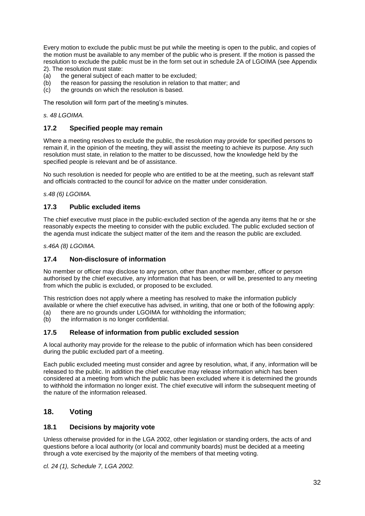Every motion to exclude the public must be put while the meeting is open to the public, and copies of the motion must be available to any member of the public who is present. If the motion is passed the resolution to exclude the public must be in the form set out in schedule 2A of LGOIMA (see Appendix 2). The resolution must state:

- (a) the general subject of each matter to be excluded;
- (b) the reason for passing the resolution in relation to that matter; and
- (c) the grounds on which the resolution is based.

The resolution will form part of the meeting's minutes.

*s. 48 LGOIMA.*

#### <span id="page-31-0"></span>**17.2 Specified people may remain**

Where a meeting resolves to exclude the public, the resolution may provide for specified persons to remain if, in the opinion of the meeting, they will assist the meeting to achieve its purpose. Any such resolution must state, in relation to the matter to be discussed, how the knowledge held by the specified people is relevant and be of assistance.

No such resolution is needed for people who are entitled to be at the meeting, such as relevant staff and officials contracted to the council for advice on the matter under consideration.

*s.48 (6) LGOIMA.*

#### <span id="page-31-1"></span>**17.3 Public excluded items**

The chief executive must place in the public-excluded section of the agenda any items that he or she reasonably expects the meeting to consider with the public excluded. The public excluded section of the agenda must indicate the subject matter of the item and the reason the public are excluded.

*s.46A (8) LGOIMA.*

#### <span id="page-31-2"></span>**17.4 Non-disclosure of information**

No member or officer may disclose to any person, other than another member, officer or person authorised by the chief executive, any information that has been, or will be, presented to any meeting from which the public is excluded, or proposed to be excluded.

This restriction does not apply where a meeting has resolved to make the information publicly available or where the chief executive has advised, in writing, that one or both of the following apply:

- (a) there are no grounds under LGOIMA for withholding the information;<br>(b) the information is no longer confidential.
- the information is no longer confidential.

#### <span id="page-31-3"></span>**17.5 Release of information from public excluded session**

A local authority may provide for the release to the public of information which has been considered during the public excluded part of a meeting.

Each public excluded meeting must consider and agree by resolution, what, if any, information will be released to the public. In addition the chief executive may release information which has been considered at a meeting from which the public has been excluded where it is determined the grounds to withhold the information no longer exist. The chief executive will inform the subsequent meeting of the nature of the information released.

#### <span id="page-31-4"></span>**18. Voting**

#### <span id="page-31-5"></span>**18.1 Decisions by majority vote**

Unless otherwise provided for in the LGA 2002, other legislation or standing orders, the acts of and questions before a local authority (or local and community boards) must be decided at a meeting through a vote exercised by the majority of the members of that meeting voting.

*cl. 24 (1), Schedule 7, LGA 2002.*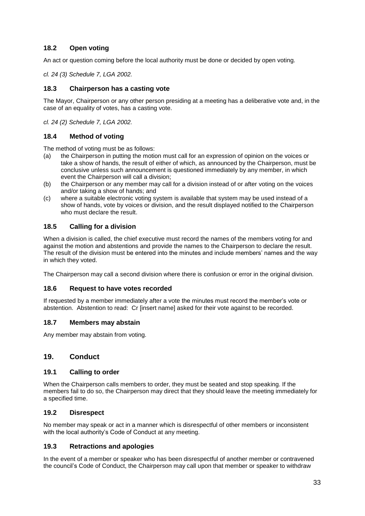## <span id="page-32-0"></span>**18.2 Open voting**

An act or question coming before the local authority must be done or decided by open voting.

*cl. 24 (3) Schedule 7, LGA 2002.*

#### <span id="page-32-1"></span>**18.3 Chairperson has a casting vote**

The Mayor, Chairperson or any other person presiding at a meeting has a deliberative vote and, in the case of an equality of votes, has a casting vote.

*cl. 24 (2) Schedule 7, LGA 2002.*

#### <span id="page-32-2"></span>**18.4 Method of voting**

The method of voting must be as follows:

- (a) the Chairperson in putting the motion must call for an expression of opinion on the voices or take a show of hands, the result of either of which, as announced by the Chairperson, must be conclusive unless such announcement is questioned immediately by any member, in which event the Chairperson will call a division;
- (b) the Chairperson or any member may call for a division instead of or after voting on the voices and/or taking a show of hands; and
- (c) where a suitable electronic voting system is available that system may be used instead of a show of hands, vote by voices or division, and the result displayed notified to the Chairperson who must declare the result.

#### <span id="page-32-3"></span>**18.5 Calling for a division**

When a division is called, the chief executive must record the names of the members voting for and against the motion and abstentions and provide the names to the Chairperson to declare the result. The result of the division must be entered into the minutes and include members' names and the way in which they voted.

The Chairperson may call a second division where there is confusion or error in the original division.

#### <span id="page-32-4"></span>**18.6 Request to have votes recorded**

If requested by a member immediately after a vote the minutes must record the member's vote or abstention. Abstention to read: Cr [insert name] asked for their vote against to be recorded.

#### <span id="page-32-5"></span>**18.7 Members may abstain**

Any member may abstain from voting.

#### <span id="page-32-6"></span>**19. Conduct**

#### <span id="page-32-7"></span>**19.1 Calling to order**

When the Chairperson calls members to order, they must be seated and stop speaking. If the members fail to do so, the Chairperson may direct that they should leave the meeting immediately for a specified time.

#### <span id="page-32-8"></span>**19.2 Disrespect**

No member may speak or act in a manner which is disrespectful of other members or inconsistent with the local authority's Code of Conduct at any meeting.

#### <span id="page-32-9"></span>**19.3 Retractions and apologies**

In the event of a member or speaker who has been disrespectful of another member or contravened the council's Code of Conduct, the Chairperson may call upon that member or speaker to withdraw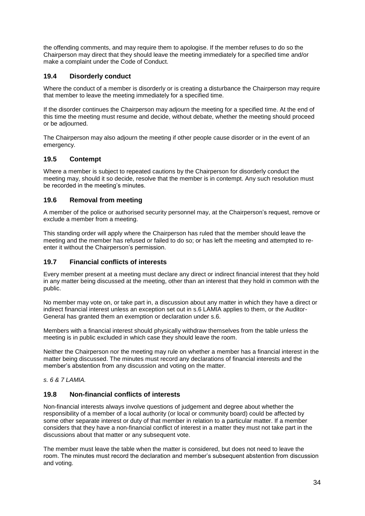the offending comments, and may require them to apologise. If the member refuses to do so the Chairperson may direct that they should leave the meeting immediately for a specified time and/or make a complaint under the Code of Conduct.

## <span id="page-33-0"></span>**19.4 Disorderly conduct**

Where the conduct of a member is disorderly or is creating a disturbance the Chairperson may require that member to leave the meeting immediately for a specified time.

If the disorder continues the Chairperson may adjourn the meeting for a specified time. At the end of this time the meeting must resume and decide, without debate, whether the meeting should proceed or be adjourned.

The Chairperson may also adjourn the meeting if other people cause disorder or in the event of an emergency.

## <span id="page-33-1"></span>**19.5 Contempt**

Where a member is subject to repeated cautions by the Chairperson for disorderly conduct the meeting may, should it so decide, resolve that the member is in contempt. Any such resolution must be recorded in the meeting's minutes.

#### <span id="page-33-2"></span>**19.6 Removal from meeting**

A member of the police or authorised security personnel may, at the Chairperson's request, remove or exclude a member from a meeting.

This standing order will apply where the Chairperson has ruled that the member should leave the meeting and the member has refused or failed to do so; or has left the meeting and attempted to reenter it without the Chairperson's permission.

#### <span id="page-33-3"></span>**19.7 Financial conflicts of interests**

Every member present at a meeting must declare any direct or indirect financial interest that they hold in any matter being discussed at the meeting, other than an interest that they hold in common with the public.

No member may vote on, or take part in, a discussion about any matter in which they have a direct or indirect financial interest unless an exception set out in s.6 LAMIA applies to them, or the Auditor-General has granted them an exemption or declaration under s.6.

Members with a financial interest should physically withdraw themselves from the table unless the meeting is in public excluded in which case they should leave the room.

Neither the Chairperson nor the meeting may rule on whether a member has a financial interest in the matter being discussed. The minutes must record any declarations of financial interests and the member's abstention from any discussion and voting on the matter.

*s. 6 & 7 LAMIA.*

#### <span id="page-33-4"></span>**19.8 Non-financial conflicts of interests**

Non-financial interests always involve questions of judgement and degree about whether the responsibility of a member of a local authority (or local or community board) could be affected by some other separate interest or duty of that member in relation to a particular matter. If a member considers that they have a non-financial conflict of interest in a matter they must not take part in the discussions about that matter or any subsequent vote.

The member must leave the table when the matter is considered, but does not need to leave the room. The minutes must record the declaration and member's subsequent abstention from discussion and voting.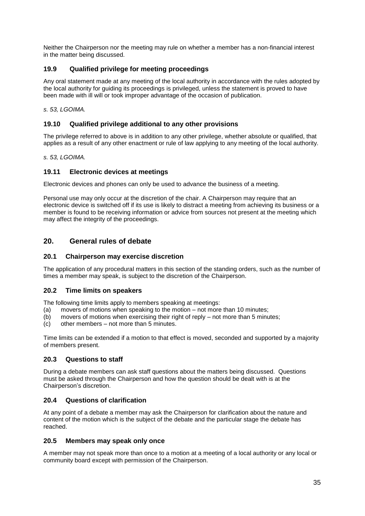Neither the Chairperson nor the meeting may rule on whether a member has a non-financial interest in the matter being discussed.

## <span id="page-34-0"></span>**19.9 Qualified privilege for meeting proceedings**

Any oral statement made at any meeting of the local authority in accordance with the rules adopted by the local authority for guiding its proceedings is privileged, unless the statement is proved to have been made with ill will or took improper advantage of the occasion of publication.

*s. 53, LGOIMA.*

#### <span id="page-34-1"></span>**19.10 Qualified privilege additional to any other provisions**

The privilege referred to above is in addition to any other privilege, whether absolute or qualified, that applies as a result of any other enactment or rule of law applying to any meeting of the local authority.

*s. 53, LGOIMA.*

#### <span id="page-34-2"></span>**19.11 Electronic devices at meetings**

Electronic devices and phones can only be used to advance the business of a meeting.

Personal use may only occur at the discretion of the chair. A Chairperson may require that an electronic device is switched off if its use is likely to distract a meeting from achieving its business or a member is found to be receiving information or advice from sources not present at the meeting which may affect the integrity of the proceedings.

## <span id="page-34-3"></span>**20. General rules of debate**

#### <span id="page-34-4"></span>**20.1 Chairperson may exercise discretion**

The application of any procedural matters in this section of the standing orders, such as the number of times a member may speak, is subject to the discretion of the Chairperson.

#### <span id="page-34-5"></span>**20.2 Time limits on speakers**

The following time limits apply to members speaking at meetings:

- (a) movers of motions when speaking to the motion not more than 10 minutes;
- (b) movers of motions when exercising their right of reply not more than 5 minutes;
- (c) other members not more than 5 minutes.

Time limits can be extended if a motion to that effect is moved, seconded and supported by a majority of members present.

#### <span id="page-34-6"></span>**20.3 Questions to staff**

During a debate members can ask staff questions about the matters being discussed. Questions must be asked through the Chairperson and how the question should be dealt with is at the Chairperson's discretion.

#### <span id="page-34-7"></span>**20.4 Questions of clarification**

At any point of a debate a member may ask the Chairperson for clarification about the nature and content of the motion which is the subject of the debate and the particular stage the debate has reached.

#### <span id="page-34-8"></span>**20.5 Members may speak only once**

A member may not speak more than once to a motion at a meeting of a local authority or any local or community board except with permission of the Chairperson.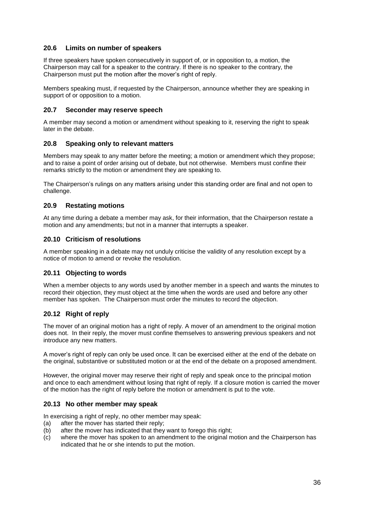#### <span id="page-35-0"></span>**20.6 Limits on number of speakers**

If three speakers have spoken consecutively in support of, or in opposition to, a motion, the Chairperson may call for a speaker to the contrary. If there is no speaker to the contrary, the Chairperson must put the motion after the mover's right of reply.

Members speaking must, if requested by the Chairperson, announce whether they are speaking in support of or opposition to a motion.

#### <span id="page-35-1"></span>**20.7 Seconder may reserve speech**

A member may second a motion or amendment without speaking to it, reserving the right to speak later in the debate.

#### <span id="page-35-2"></span>**20.8 Speaking only to relevant matters**

Members may speak to any matter before the meeting; a motion or amendment which they propose; and to raise a point of order arising out of debate, but not otherwise. Members must confine their remarks strictly to the motion or amendment they are speaking to.

The Chairperson's rulings on any matters arising under this standing order are final and not open to challenge.

#### <span id="page-35-3"></span>**20.9 Restating motions**

At any time during a debate a member may ask, for their information, that the Chairperson restate a motion and any amendments; but not in a manner that interrupts a speaker.

#### <span id="page-35-4"></span>**20.10 Criticism of resolutions**

A member speaking in a debate may not unduly criticise the validity of any resolution except by a notice of motion to amend or revoke the resolution.

#### <span id="page-35-5"></span>**20.11 Objecting to words**

When a member objects to any words used by another member in a speech and wants the minutes to record their objection, they must object at the time when the words are used and before any other member has spoken. The Chairperson must order the minutes to record the objection.

#### <span id="page-35-6"></span>**20.12 Right of reply**

The mover of an original motion has a right of reply. A mover of an amendment to the original motion does not. In their reply, the mover must confine themselves to answering previous speakers and not introduce any new matters.

A mover's right of reply can only be used once. It can be exercised either at the end of the debate on the original, substantive or substituted motion or at the end of the debate on a proposed amendment.

However, the original mover may reserve their right of reply and speak once to the principal motion and once to each amendment without losing that right of reply. If a closure motion is carried the mover of the motion has the right of reply before the motion or amendment is put to the vote.

#### <span id="page-35-7"></span>**20.13 No other member may speak**

In exercising a right of reply, no other member may speak:

- (a) after the mover has started their reply;
- (b) after the mover has indicated that they want to forego this right;
- (c) where the mover has spoken to an amendment to the original motion and the Chairperson has indicated that he or she intends to put the motion.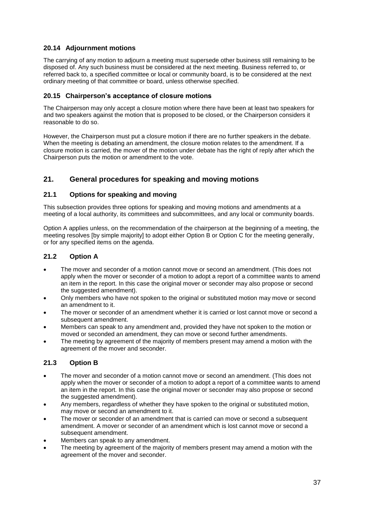## <span id="page-36-0"></span>**20.14 Adjournment motions**

The carrying of any motion to adjourn a meeting must supersede other business still remaining to be disposed of. Any such business must be considered at the next meeting. Business referred to, or referred back to, a specified committee or local or community board, is to be considered at the next ordinary meeting of that committee or board, unless otherwise specified.

#### <span id="page-36-1"></span>**20.15 Chairperson's acceptance of closure motions**

The Chairperson may only accept a closure motion where there have been at least two speakers for and two speakers against the motion that is proposed to be closed, or the Chairperson considers it reasonable to do so.

However, the Chairperson must put a closure motion if there are no further speakers in the debate. When the meeting is debating an amendment, the closure motion relates to the amendment. If a closure motion is carried, the mover of the motion under debate has the right of reply after which the Chairperson puts the motion or amendment to the vote.

## <span id="page-36-2"></span>**21. General procedures for speaking and moving motions**

#### <span id="page-36-3"></span>**21.1 Options for speaking and moving**

This subsection provides three options for speaking and moving motions and amendments at a meeting of a local authority, its committees and subcommittees, and any local or community boards.

Option A applies unless, on the recommendation of the chairperson at the beginning of a meeting, the meeting resolves [by simple majority] to adopt either Option B or Option C for the meeting generally, or for any specified items on the agenda.

#### <span id="page-36-4"></span>**21.2 Option A**

- The mover and seconder of a motion cannot move or second an amendment. (This does not apply when the mover or seconder of a motion to adopt a report of a committee wants to amend an item in the report. In this case the original mover or seconder may also propose or second the suggested amendment).
- Only members who have not spoken to the original or substituted motion may move or second an amendment to it.
- The mover or seconder of an amendment whether it is carried or lost cannot move or second a subsequent amendment.
- Members can speak to any amendment and, provided they have not spoken to the motion or moved or seconded an amendment, they can move or second further amendments.
- The meeting by agreement of the majority of members present may amend a motion with the agreement of the mover and seconder.

#### <span id="page-36-5"></span>**21.3 Option B**

- The mover and seconder of a motion cannot move or second an amendment. (This does not apply when the mover or seconder of a motion to adopt a report of a committee wants to amend an item in the report. In this case the original mover or seconder may also propose or second the suggested amendment).
- Any members, regardless of whether they have spoken to the original or substituted motion, may move or second an amendment to it.
- The mover or seconder of an amendment that is carried can move or second a subsequent amendment. A mover or seconder of an amendment which is lost cannot move or second a subsequent amendment.
- Members can speak to any amendment.
- The meeting by agreement of the majority of members present may amend a motion with the agreement of the mover and seconder.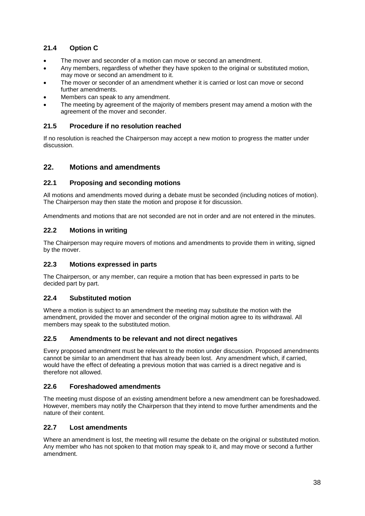## <span id="page-37-0"></span>**21.4 Option C**

- The mover and seconder of a motion can move or second an amendment.
- Any members, regardless of whether they have spoken to the original or substituted motion, may move or second an amendment to it.
- The mover or seconder of an amendment whether it is carried or lost can move or second further amendments.
- Members can speak to any amendment.
- The meeting by agreement of the majority of members present may amend a motion with the agreement of the mover and seconder.

## <span id="page-37-1"></span>**21.5 Procedure if no resolution reached**

If no resolution is reached the Chairperson may accept a new motion to progress the matter under discussion.

## <span id="page-37-2"></span>**22. Motions and amendments**

#### <span id="page-37-3"></span>**22.1 Proposing and seconding motions**

All motions and amendments moved during a debate must be seconded (including notices of motion). The Chairperson may then state the motion and propose it for discussion.

Amendments and motions that are not seconded are not in order and are not entered in the minutes.

#### <span id="page-37-4"></span>**22.2 Motions in writing**

The Chairperson may require movers of motions and amendments to provide them in writing, signed by the mover.

#### <span id="page-37-5"></span>**22.3 Motions expressed in parts**

The Chairperson, or any member, can require a motion that has been expressed in parts to be decided part by part.

#### <span id="page-37-6"></span>**22.4 Substituted motion**

Where a motion is subject to an amendment the meeting may substitute the motion with the amendment, provided the mover and seconder of the original motion agree to its withdrawal. All members may speak to the substituted motion.

#### <span id="page-37-7"></span>**22.5 Amendments to be relevant and not direct negatives**

Every proposed amendment must be relevant to the motion under discussion. Proposed amendments cannot be similar to an amendment that has already been lost. Any amendment which, if carried, would have the effect of defeating a previous motion that was carried is a direct negative and is therefore not allowed.

#### <span id="page-37-8"></span>**22.6 Foreshadowed amendments**

The meeting must dispose of an existing amendment before a new amendment can be foreshadowed. However, members may notify the Chairperson that they intend to move further amendments and the nature of their content.

#### <span id="page-37-9"></span>**22.7 Lost amendments**

Where an amendment is lost, the meeting will resume the debate on the original or substituted motion. Any member who has not spoken to that motion may speak to it, and may move or second a further amendment.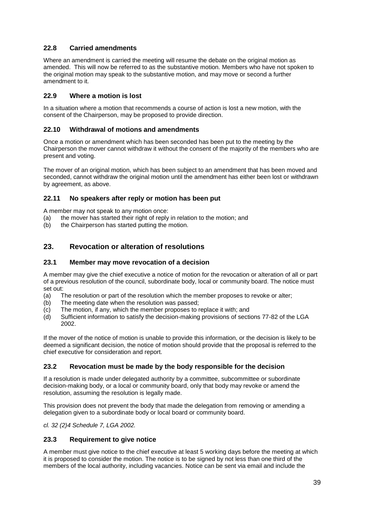## <span id="page-38-0"></span>**22.8 Carried amendments**

Where an amendment is carried the meeting will resume the debate on the original motion as amended. This will now be referred to as the substantive motion. Members who have not spoken to the original motion may speak to the substantive motion, and may move or second a further amendment to it.

## <span id="page-38-1"></span>**22.9 Where a motion is lost**

In a situation where a motion that recommends a course of action is lost a new motion, with the consent of the Chairperson, may be proposed to provide direction.

#### <span id="page-38-2"></span>**22.10 Withdrawal of motions and amendments**

Once a motion or amendment which has been seconded has been put to the meeting by the Chairperson the mover cannot withdraw it without the consent of the majority of the members who are present and voting.

The mover of an original motion, which has been subject to an amendment that has been moved and seconded, cannot withdraw the original motion until the amendment has either been lost or withdrawn by agreement, as above.

## <span id="page-38-3"></span>**22.11 No speakers after reply or motion has been put**

A member may not speak to any motion once:

- (a) the mover has started their right of reply in relation to the motion; and
- (b) the Chairperson has started putting the motion.

## <span id="page-38-4"></span>**23. Revocation or alteration of resolutions**

#### <span id="page-38-5"></span>**23.1 Member may move revocation of a decision**

A member may give the chief executive a notice of motion for the revocation or alteration of all or part of a previous resolution of the council, subordinate body, local or community board. The notice must set out:

- (a) The resolution or part of the resolution which the member proposes to revoke or alter;
- (b) The meeting date when the resolution was passed;
- (c) The motion, if any, which the member proposes to replace it with; and
- (d) Sufficient information to satisfy the decision-making provisions of sections 77-82 of the LGA 2002.

If the mover of the notice of motion is unable to provide this information, or the decision is likely to be deemed a significant decision, the notice of motion should provide that the proposal is referred to the chief executive for consideration and report.

#### <span id="page-38-6"></span>**23.2 Revocation must be made by the body responsible for the decision**

If a resolution is made under delegated authority by a committee, subcommittee or subordinate decision-making body, or a local or community board, only that body may revoke or amend the resolution, assuming the resolution is legally made.

This provision does not prevent the body that made the delegation from removing or amending a delegation given to a subordinate body or local board or community board.

*cl. 32 (2)4 Schedule 7, LGA 2002.*

#### <span id="page-38-7"></span>**23.3 Requirement to give notice**

A member must give notice to the chief executive at least 5 working days before the meeting at which it is proposed to consider the motion. The notice is to be signed by not less than one third of the members of the local authority, including vacancies. Notice can be sent via email and include the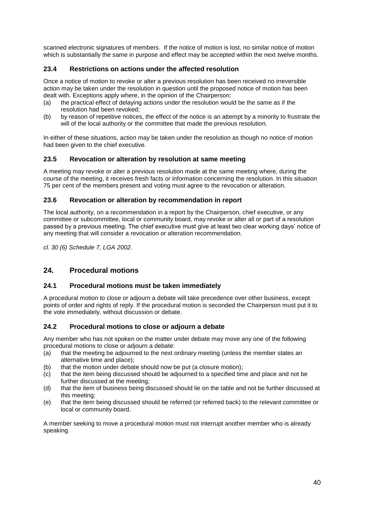scanned electronic signatures of members. If the notice of motion is lost, no similar notice of motion which is substantially the same in purpose and effect may be accepted within the next twelve months.

#### <span id="page-39-0"></span>**23.4 Restrictions on actions under the affected resolution**

Once a notice of motion to revoke or alter a previous resolution has been received no irreversible action may be taken under the resolution in question until the proposed notice of motion has been dealt with. Exceptions apply where, in the opinion of the Chairperson:

- (a) the practical effect of delaying actions under the resolution would be the same as if the resolution had been revoked;
- (b) by reason of repetitive notices, the effect of the notice is an attempt by a minority to frustrate the will of the local authority or the committee that made the previous resolution.

In either of these situations, action may be taken under the resolution as though no notice of motion had been given to the chief executive.

#### <span id="page-39-1"></span>**23.5 Revocation or alteration by resolution at same meeting**

A meeting may revoke or alter a previous resolution made at the same meeting where, during the course of the meeting, it receives fresh facts or information concerning the resolution. In this situation 75 per cent of the members present and voting must agree to the revocation or alteration.

#### <span id="page-39-2"></span>**23.6 Revocation or alteration by recommendation in report**

The local authority, on a recommendation in a report by the Chairperson, chief executive, or any committee or subcommittee, local or community board, may revoke or alter all or part of a resolution passed by a previous meeting. The chief executive must give at least two clear working days' notice of any meeting that will consider a revocation or alteration recommendation.

*cl. 30 (6) Schedule 7, LGA 2002.*

## <span id="page-39-3"></span>**24. Procedural motions**

#### <span id="page-39-4"></span>**24.1 Procedural motions must be taken immediately**

A procedural motion to close or adjourn a debate will take precedence over other business, except points of order and rights of reply. If the procedural motion is seconded the Chairperson must put it to the vote immediately, without discussion or debate.

#### <span id="page-39-5"></span>**24.2 Procedural motions to close or adjourn a debate**

Any member who has not spoken on the matter under debate may move any one of the following procedural motions to close or adjourn a debate:

- (a) that the meeting be adjourned to the next ordinary meeting (unless the member states an alternative time and place);
- (b) that the motion under debate should now be put (a closure motion);
- (c) that the item being discussed should be adjourned to a specified time and place and not be further discussed at the meeting;
- (d) that the item of business being discussed should lie on the table and not be further discussed at this meeting;
- (e) that the item being discussed should be referred (or referred back) to the relevant committee or local or community board.

A member seeking to move a procedural motion must not interrupt another member who is already speaking.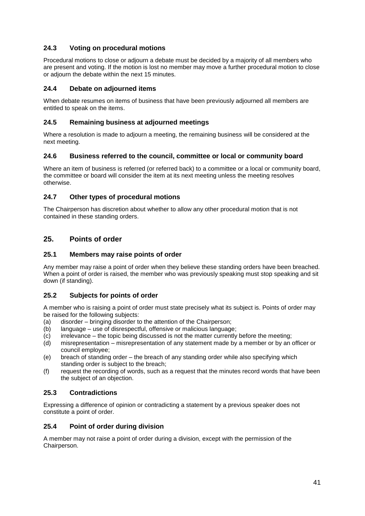## <span id="page-40-0"></span>**24.3 Voting on procedural motions**

Procedural motions to close or adjourn a debate must be decided by a majority of all members who are present and voting. If the motion is lost no member may move a further procedural motion to close or adjourn the debate within the next 15 minutes.

## <span id="page-40-1"></span>**24.4 Debate on adjourned items**

When debate resumes on items of business that have been previously adjourned all members are entitled to speak on the items.

## <span id="page-40-2"></span>**24.5 Remaining business at adjourned meetings**

Where a resolution is made to adjourn a meeting, the remaining business will be considered at the next meeting.

#### <span id="page-40-3"></span>**24.6 Business referred to the council, committee or local or community board**

Where an item of business is referred (or referred back) to a committee or a local or community board, the committee or board will consider the item at its next meeting unless the meeting resolves otherwise.

## <span id="page-40-4"></span>**24.7 Other types of procedural motions**

The Chairperson has discretion about whether to allow any other procedural motion that is not contained in these standing orders.

## <span id="page-40-5"></span>**25. Points of order**

#### <span id="page-40-6"></span>**25.1 Members may raise points of order**

Any member may raise a point of order when they believe these standing orders have been breached. When a point of order is raised, the member who was previously speaking must stop speaking and sit down (if standing).

#### <span id="page-40-7"></span>**25.2 Subjects for points of order**

A member who is raising a point of order must state precisely what its subject is. Points of order may be raised for the following subjects:

- (a) disorder bringing disorder to the attention of the Chairperson;
- (b) language use of disrespectful, offensive or malicious language;
- (c) irrelevance the topic being discussed is not the matter currently before the meeting;
- (d) misrepresentation misrepresentation of any statement made by a member or by an officer or council employee;
- (e) breach of standing order the breach of any standing order while also specifying which standing order is subject to the breach;
- (f) request the recording of words, such as a request that the minutes record words that have been the subject of an objection.

## <span id="page-40-8"></span>**25.3 Contradictions**

Expressing a difference of opinion or contradicting a statement by a previous speaker does not constitute a point of order.

#### <span id="page-40-9"></span>**25.4 Point of order during division**

A member may not raise a point of order during a division, except with the permission of the Chairperson.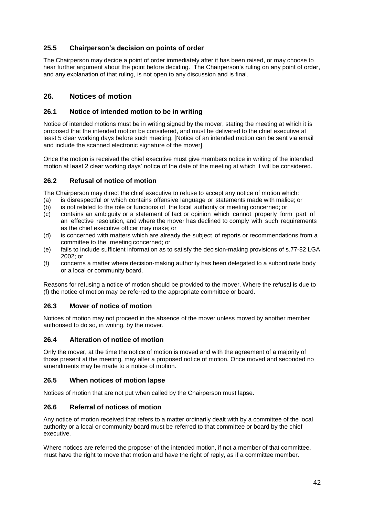## <span id="page-41-0"></span>**25.5 Chairperson's decision on points of order**

The Chairperson may decide a point of order immediately after it has been raised, or may choose to hear further argument about the point before deciding. The Chairperson's ruling on any point of order, and any explanation of that ruling, is not open to any discussion and is final.

## <span id="page-41-1"></span>**26. Notices of motion**

#### <span id="page-41-2"></span>**26.1 Notice of intended motion to be in writing**

Notice of intended motions must be in writing signed by the mover, stating the meeting at which it is proposed that the intended motion be considered, and must be delivered to the chief executive at least 5 clear working days before such meeting. [Notice of an intended motion can be sent via email and include the scanned electronic signature of the mover].

Once the motion is received the chief executive must give members notice in writing of the intended motion at least 2 clear working days' notice of the date of the meeting at which it will be considered.

#### <span id="page-41-3"></span>**26.2 Refusal of notice of motion**

The Chairperson may direct the chief executive to refuse to accept any notice of motion which:

- (a) is disrespectful or which contains offensive language or statements made with malice; or
- (b) is not related to the role or functions of the local authority or meeting concerned; or
- (c) contains an ambiguity or a statement of fact or opinion which cannot properly form part of an effective resolution, and where the mover has declined to comply with such requirements as the chief executive officer may make; or
- (d) is concerned with matters which are already the subject of reports or recommendations from a committee to the meeting concerned; or
- (e) fails to include sufficient information as to satisfy the decision-making provisions of s.77-82 LGA 2002; or
- (f) concerns a matter where decision-making authority has been delegated to a subordinate body or a local or community board.

Reasons for refusing a notice of motion should be provided to the mover. Where the refusal is due to (f) the notice of motion may be referred to the appropriate committee or board.

## <span id="page-41-4"></span>**26.3 Mover of notice of motion**

Notices of motion may not proceed in the absence of the mover unless moved by another member authorised to do so, in writing, by the mover.

#### <span id="page-41-5"></span>**26.4 Alteration of notice of motion**

Only the mover, at the time the notice of motion is moved and with the agreement of a majority of those present at the meeting, may alter a proposed notice of motion. Once moved and seconded no amendments may be made to a notice of motion.

#### <span id="page-41-6"></span>**26.5 When notices of motion lapse**

Notices of motion that are not put when called by the Chairperson must lapse.

#### <span id="page-41-7"></span>**26.6 Referral of notices of motion**

Any notice of motion received that refers to a matter ordinarily dealt with by a committee of the local authority or a local or community board must be referred to that committee or board by the chief executive.

Where notices are referred the proposer of the intended motion, if not a member of that committee, must have the right to move that motion and have the right of reply, as if a committee member.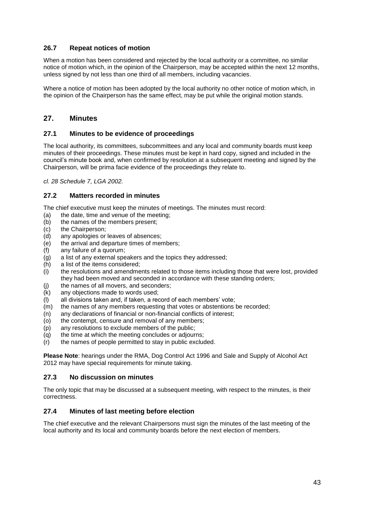## <span id="page-42-0"></span>**26.7 Repeat notices of motion**

When a motion has been considered and rejected by the local authority or a committee, no similar notice of motion which, in the opinion of the Chairperson, may be accepted within the next 12 months, unless signed by not less than one third of all members, including vacancies.

Where a notice of motion has been adopted by the local authority no other notice of motion which, in the opinion of the Chairperson has the same effect, may be put while the original motion stands.

## <span id="page-42-1"></span>**27. Minutes**

#### <span id="page-42-2"></span>**27.1 Minutes to be evidence of proceedings**

The local authority, its committees, subcommittees and any local and community boards must keep minutes of their proceedings. These minutes must be kept in hard copy, signed and included in the council's minute book and, when confirmed by resolution at a subsequent meeting and signed by the Chairperson, will be prima facie evidence of the proceedings they relate to.

*cl. 28 Schedule 7, LGA 2002.*

#### <span id="page-42-3"></span>**27.2 Matters recorded in minutes**

The chief executive must keep the minutes of meetings. The minutes must record:

- (a) the date, time and venue of the meeting;
- (b) the names of the members present;
- (c) the Chairperson;
- (d) any apologies or leaves of absences;
- (e) the arrival and departure times of members;
- (f) any failure of a quorum;
- (g) a list of any external speakers and the topics they addressed;
- (h) a list of the items considered;
- (i) the resolutions and amendments related to those items including those that were lost, provided they had been moved and seconded in accordance with these standing orders;
- (j) the names of all movers, and seconders;
- (k) any objections made to words used;
- $(1)$  all divisions taken and, if taken, a record of each members' vote;
- $(m)$  the names of any members requesting that votes or abstentions be recorded;
- (n) any declarations of financial or non-financial conflicts of interest;
- (o) the contempt, censure and removal of any members;
- (p) any resolutions to exclude members of the public;
- (q) the time at which the meeting concludes or adjourns;
- (r) the names of people permitted to stay in public excluded.

**Please Note**: hearings under the RMA, Dog Control Act 1996 and Sale and Supply of Alcohol Act 2012 may have special requirements for minute taking.

#### <span id="page-42-4"></span>**27.3 No discussion on minutes**

The only topic that may be discussed at a subsequent meeting, with respect to the minutes, is their correctness.

#### <span id="page-42-5"></span>**27.4 Minutes of last meeting before election**

The chief executive and the relevant Chairpersons must sign the minutes of the last meeting of the local authority and its local and community boards before the next election of members.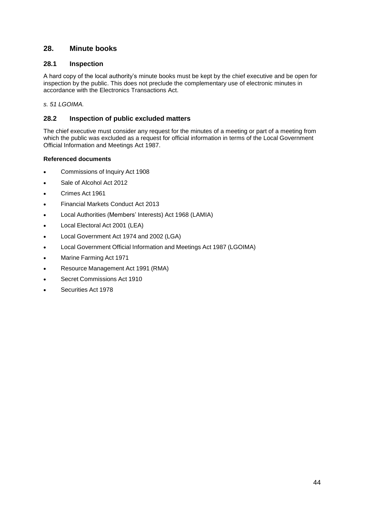## <span id="page-43-0"></span>**28. Minute books**

#### <span id="page-43-1"></span>**28.1 Inspection**

A hard copy of the local authority's minute books must be kept by the chief executive and be open for inspection by the public. This does not preclude the complementary use of electronic minutes in accordance with the Electronics Transactions Act.

*s. 51 LGOIMA.*

#### <span id="page-43-2"></span>**28.2 Inspection of public excluded matters**

The chief executive must consider any request for the minutes of a meeting or part of a meeting from which the public was excluded as a request for official information in terms of the Local Government Official Information and Meetings Act 1987.

#### <span id="page-43-3"></span>**Referenced documents**

- Commissions of Inquiry Act 1908
- Sale of Alcohol Act 2012
- Crimes Act 1961
- Financial Markets Conduct Act 2013
- Local Authorities (Members' Interests) Act 1968 (LAMIA)
- Local Electoral Act 2001 (LEA)
- Local Government Act 1974 and 2002 (LGA)
- Local Government Official Information and Meetings Act 1987 (LGOIMA)
- Marine Farming Act 1971
- Resource Management Act 1991 (RMA)
- Secret Commissions Act 1910
- Securities Act 1978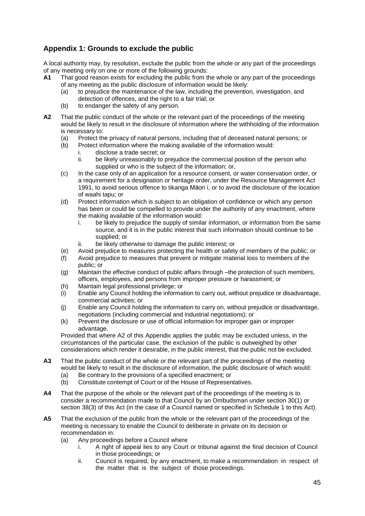## <span id="page-44-0"></span>**Appendix 1: Grounds to exclude the public**

A local authority may, by resolution, exclude the public from the whole or any part of the proceedings of any meeting only on one or more of the following grounds:

- **A1** That good reason exists for excluding the public from the whole or any part of the proceedings of any meeting as the public disclosure of information would be likely:
	- (a) to prejudice the maintenance of the law, including the prevention, investigation, and detection of offences, and the right to a fair trial; or
	- (b) to endanger the safety of any person.
- **A2** That the public conduct of the whole or the relevant part of the proceedings of the meeting would be likely to result in the disclosure of information where the withholding of the information is necessary to:
	- (a) Protect the privacy of natural persons, including that of deceased natural persons; or (b) Protect information where the making available of the information would:
	- Protect information where the making available of the information would:
		- i. disclose a trade secret; or
		- ii. be likely unreasonably to prejudice the commercial position of the person who supplied or who is the subject of the information; or,
	- (c) In the case only of an application for a resource consent, or water conservation order, or a requirement for a designation or heritage order, under the Resource Management Act 1991, to avoid serious offence to tikanga Māori i, or to avoid the disclosure of the location of waahi tapu; or
	- (d) Protect information which is subject to an obligation of confidence or which any person has been or could be compelled to provide under the authority of any enactment, where the making available of the information would:
		- i. be likely to prejudice the supply of similar information, or information from the same source, and it is in the public interest that such information should continue to be supplied; or
		- ii. be likely otherwise to damage the public interest; or
	- (e) Avoid prejudice to measures protecting the health or safety of members of the public; or
	- (f) Avoid prejudice to measures that prevent or mitigate material loss to members of the public; or
	- (g) Maintain the effective conduct of public affairs through –the protection of such members, officers, employees, and persons from improper pressure or harassment; or
	- (h) Maintain legal professional privilege; or
	- (i) Enable any Council holding the information to carry out, without prejudice or disadvantage, commercial activities; or
	- (j) Enable any Council holding the information to carry on, without prejudice or disadvantage, negotiations (including commercial and industrial negotiations); or
	- (k) Prevent the disclosure or use of official information for improper gain or improper advantage.

Provided that where A2 of this Appendix applies the public may be excluded unless, in the circumstances of the particular case, the exclusion of the public is outweighed by other considerations which render it desirable, in the public interest, that the public not be excluded.

- **A3** That the public conduct of the whole or the relevant part of the proceedings of the meeting would be likely to result in the disclosure of information, the public disclosure of which would:
	- (a) Be contrary to the provisions of a specified enactment; or
	- (b) Constitute contempt of Court or of the House of Representatives.
- **A4** That the purpose of the whole or the relevant part of the proceedings of the meeting is to consider a recommendation made to that Council by an Ombudsman under section 30(1) or section 38(3) of this Act (in the case of a Council named or specified in Schedule 1 to this Act).
- **A5** That the exclusion of the public from the whole or the relevant part of the proceedings of the meeting is necessary to enable the Council to deliberate in private on its decision or recommendation in:
	- (a) Any proceedings before a Council where
		- i. A right of appeal lies to any Court or tribunal against the final decision of Council in those proceedings; or
		- ii. Council is required, by any enactment, to make a recommendation in respect of the matter that is the subject of those proceedings.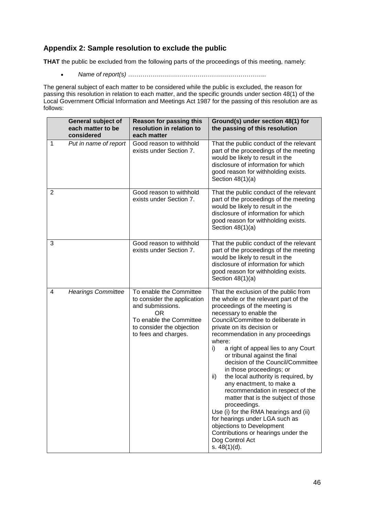## <span id="page-45-0"></span>**Appendix 2: Sample resolution to exclude the public**

**THAT** the public be excluded from the following parts of the proceedings of this meeting, namely:

*Name of report(s) …………………………………………………………..*

The general subject of each matter to be considered while the public is excluded, the reason for passing this resolution in relation to each matter, and the specific grounds under section 48(1) of the Local Government Official Information and Meetings Act 1987 for the passing of this resolution are as follows:

|                | <b>General subject of</b><br>each matter to be<br>considered | <b>Reason for passing this</b><br>resolution in relation to<br>each matter                                                                                              | Ground(s) under section 48(1) for<br>the passing of this resolution                                                                                                                                                                                                                                                                                                                                                                                                                                                                                                                                                                                                                                                                                                    |  |  |  |
|----------------|--------------------------------------------------------------|-------------------------------------------------------------------------------------------------------------------------------------------------------------------------|------------------------------------------------------------------------------------------------------------------------------------------------------------------------------------------------------------------------------------------------------------------------------------------------------------------------------------------------------------------------------------------------------------------------------------------------------------------------------------------------------------------------------------------------------------------------------------------------------------------------------------------------------------------------------------------------------------------------------------------------------------------------|--|--|--|
| 1              | Put in name of report                                        | Good reason to withhold<br>exists under Section 7.                                                                                                                      | That the public conduct of the relevant<br>part of the proceedings of the meeting<br>would be likely to result in the<br>disclosure of information for which<br>good reason for withholding exists.<br>Section $48(1)(a)$                                                                                                                                                                                                                                                                                                                                                                                                                                                                                                                                              |  |  |  |
| $\overline{2}$ |                                                              | Good reason to withhold<br>exists under Section 7.                                                                                                                      | That the public conduct of the relevant<br>part of the proceedings of the meeting<br>would be likely to result in the<br>disclosure of information for which<br>good reason for withholding exists.<br>Section $48(1)(a)$                                                                                                                                                                                                                                                                                                                                                                                                                                                                                                                                              |  |  |  |
| 3              |                                                              | Good reason to withhold<br>exists under Section 7.                                                                                                                      | That the public conduct of the relevant<br>part of the proceedings of the meeting<br>would be likely to result in the<br>disclosure of information for which<br>good reason for withholding exists.<br>Section $48(1)(a)$                                                                                                                                                                                                                                                                                                                                                                                                                                                                                                                                              |  |  |  |
| 4              | <b>Hearings Committee</b>                                    | To enable the Committee<br>to consider the application<br>and submissions.<br><b>OR</b><br>To enable the Committee<br>to consider the objection<br>to fees and charges. | That the exclusion of the public from<br>the whole or the relevant part of the<br>proceedings of the meeting is<br>necessary to enable the<br>Council/Committee to deliberate in<br>private on its decision or<br>recommendation in any proceedings<br>where:<br>i)<br>a right of appeal lies to any Court<br>or tribunal against the final<br>decision of the Council/Committee<br>in those proceedings; or<br>the local authority is required, by<br>ii)<br>any enactment, to make a<br>recommendation in respect of the<br>matter that is the subject of those<br>proceedings.<br>Use (i) for the RMA hearings and (ii)<br>for hearings under LGA such as<br>objections to Development<br>Contributions or hearings under the<br>Dog Control Act<br>s. $48(1)(d)$ . |  |  |  |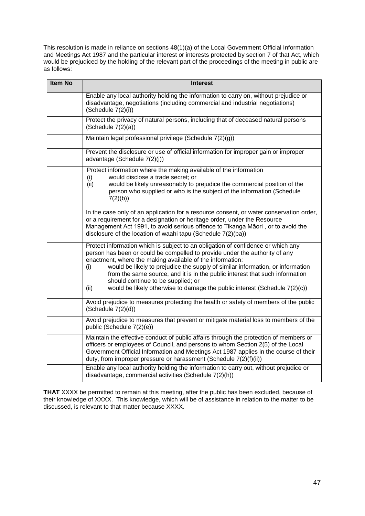This resolution is made in reliance on sections 48(1)(a) of the Local Government Official Information and Meetings Act 1987 and the particular interest or interests protected by section 7 of that Act, which would be prejudiced by the holding of the relevant part of the proceedings of the meeting in public are as follows:

| <b>Item No</b> | <b>Interest</b>                                                                                                                                                                                                                                                                                                                                                                                                                                                                                                                   |  |  |  |  |  |  |  |
|----------------|-----------------------------------------------------------------------------------------------------------------------------------------------------------------------------------------------------------------------------------------------------------------------------------------------------------------------------------------------------------------------------------------------------------------------------------------------------------------------------------------------------------------------------------|--|--|--|--|--|--|--|
|                | Enable any local authority holding the information to carry on, without prejudice or<br>disadvantage, negotiations (including commercial and industrial negotiations)<br>(Schedule 7(2)(i))                                                                                                                                                                                                                                                                                                                                       |  |  |  |  |  |  |  |
|                | Protect the privacy of natural persons, including that of deceased natural persons<br>(Schedule 7(2)(a))                                                                                                                                                                                                                                                                                                                                                                                                                          |  |  |  |  |  |  |  |
|                | Maintain legal professional privilege (Schedule 7(2)(g))                                                                                                                                                                                                                                                                                                                                                                                                                                                                          |  |  |  |  |  |  |  |
|                | Prevent the disclosure or use of official information for improper gain or improper<br>advantage (Schedule 7(2)(j))                                                                                                                                                                                                                                                                                                                                                                                                               |  |  |  |  |  |  |  |
|                | Protect information where the making available of the information<br>would disclose a trade secret; or<br>(i)                                                                                                                                                                                                                                                                                                                                                                                                                     |  |  |  |  |  |  |  |
|                | (ii)<br>would be likely unreasonably to prejudice the commercial position of the<br>person who supplied or who is the subject of the information (Schedule<br>7(2)(b)                                                                                                                                                                                                                                                                                                                                                             |  |  |  |  |  |  |  |
|                | In the case only of an application for a resource consent, or water conservation order,<br>or a requirement for a designation or heritage order, under the Resource<br>Management Act 1991, to avoid serious offence to Tikanga Māori, or to avoid the<br>disclosure of the location of waahi tapu (Schedule 7(2)(ba))                                                                                                                                                                                                            |  |  |  |  |  |  |  |
|                | Protect information which is subject to an obligation of confidence or which any<br>person has been or could be compelled to provide under the authority of any<br>enactment, where the making available of the information:<br>would be likely to prejudice the supply of similar information, or information<br>(i)<br>from the same source, and it is in the public interest that such information<br>should continue to be supplied; or<br>would be likely otherwise to damage the public interest (Schedule 7(2)(c))<br>(ii) |  |  |  |  |  |  |  |
|                | Avoid prejudice to measures protecting the health or safety of members of the public<br>(Schedule 7(2)(d))                                                                                                                                                                                                                                                                                                                                                                                                                        |  |  |  |  |  |  |  |
|                | Avoid prejudice to measures that prevent or mitigate material loss to members of the<br>public (Schedule 7(2)(e))                                                                                                                                                                                                                                                                                                                                                                                                                 |  |  |  |  |  |  |  |
|                | Maintain the effective conduct of public affairs through the protection of members or<br>officers or employees of Council, and persons to whom Section 2(5) of the Local<br>Government Official Information and Meetings Act 1987 applies in the course of their<br>duty, from improper pressure or harassment (Schedule 7(2)(f)(ii))                                                                                                                                                                                             |  |  |  |  |  |  |  |
|                | Enable any local authority holding the information to carry out, without prejudice or<br>disadvantage, commercial activities (Schedule 7(2)(h))                                                                                                                                                                                                                                                                                                                                                                                   |  |  |  |  |  |  |  |

**THAT** XXXX be permitted to remain at this meeting, after the public has been excluded, because of their knowledge of XXXX. This knowledge, which will be of assistance in relation to the matter to be discussed, is relevant to that matter because XXXX.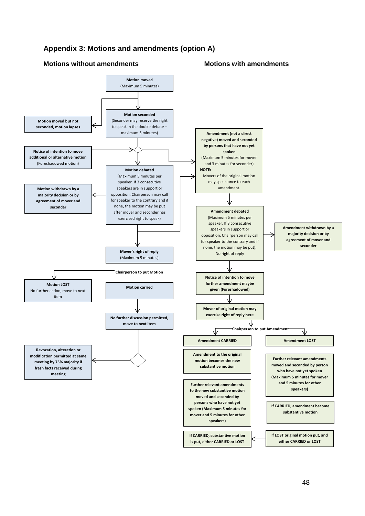## <span id="page-47-0"></span>**Appendix 3: Motions and amendments (option A)**

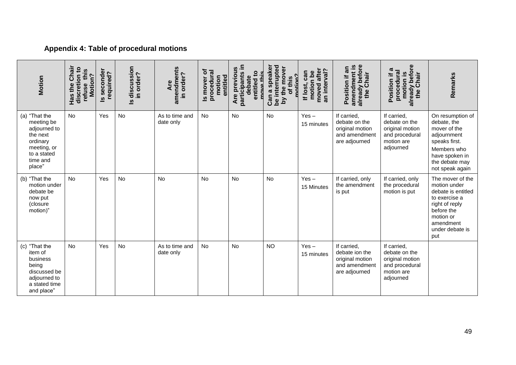## **Appendix 4: Table of procedural motions**

<span id="page-48-0"></span>

| Motion                                                                                                                  | Chair<br>Has the Chair<br>discretion to<br>refuse this<br>Motion? | Is seconder<br>required? | Is discussion<br>order?<br>ءِ. | amendments<br>in order?<br>Are | Is mover of<br>procedural<br>motion<br>entitled | participants in<br>Are previous<br>$\mathbf{c}$<br>debate<br>entitled | interrupted<br>a speaker<br>the mover<br>matian?<br>of this<br><b>Can</b><br>γq<br>ഉ | moved after<br>an interval?<br>can<br>motion be<br>If lost, | already before<br>amendment is<br>Position if an<br>the Chair                      | already before<br>the Chair<br>ത<br>procedural<br>motion is<br>Position                      | Remarks                                                                                                                                                     |
|-------------------------------------------------------------------------------------------------------------------------|-------------------------------------------------------------------|--------------------------|--------------------------------|--------------------------------|-------------------------------------------------|-----------------------------------------------------------------------|--------------------------------------------------------------------------------------|-------------------------------------------------------------|------------------------------------------------------------------------------------|----------------------------------------------------------------------------------------------|-------------------------------------------------------------------------------------------------------------------------------------------------------------|
| (a) "That the<br>meeting be<br>adjourned to<br>the next<br>ordinary<br>meeting, or<br>to a stated<br>time and<br>place" | <b>No</b>                                                         | Yes                      | No                             | As to time and<br>date only    | No                                              | No                                                                    | <b>No</b>                                                                            | $Yes -$<br>15 minutes                                       | If carried.<br>debate on the<br>original motion<br>and amendment<br>are adjourned  | If carried,<br>debate on the<br>original motion<br>and procedural<br>motion are<br>adjourned | On resumption of<br>debate, the<br>mover of the<br>adjournment<br>speaks first.<br>Members who<br>have spoken in<br>the debate may<br>not speak again       |
| (b) "That the<br>motion under<br>debate be<br>now put<br>(closure<br>motion)"                                           | No                                                                | Yes                      | <b>No</b>                      | No                             | No                                              | <b>No</b>                                                             | <b>No</b>                                                                            | $Yes -$<br>15 Minutes                                       | If carried, only<br>the amendment<br>is put                                        | If carried, only<br>the procedural<br>motion is put                                          | The mover of the<br>motion under<br>debate is entitled<br>to exercise a<br>right of reply<br>before the<br>motion or<br>amendment<br>under debate is<br>put |
| (c) "That the<br>item of<br>business<br>being<br>discussed be<br>adjourned to<br>a stated time<br>and place"            | <b>No</b>                                                         | Yes                      | No                             | As to time and<br>date only    | <b>No</b>                                       | No                                                                    | <b>NO</b>                                                                            | $Yes -$<br>15 minutes                                       | If carried,<br>debate ion the<br>original motion<br>and amendment<br>are adjourned | If carried,<br>debate on the<br>original motion<br>and procedural<br>motion are<br>adjourned |                                                                                                                                                             |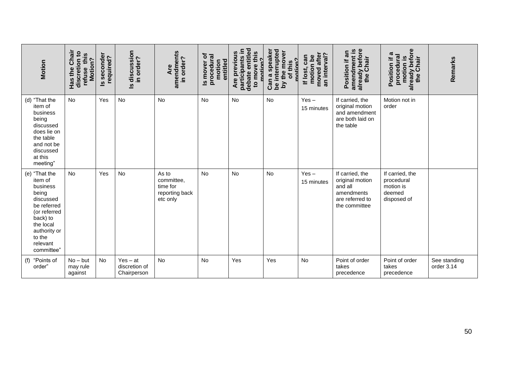| <b>Motion</b>                                                                                                                                                          | Has the Chair<br>discretion to<br>refuse this<br>Motion? | Is seconder<br>required? | Is discussion<br>in order?                 | amendments<br>in order?<br>Are                                | Is mover of<br>procedural<br>entitled<br>motion | debate entitled<br>participants in<br>Are previous<br>to move this<br>matian? | Can a speaker<br>be interrupted<br>by the mover<br>matian?<br>of this | an interval?<br>after<br>can<br>motion be<br>moved<br>If lost, | already before<br>amendment is<br>Position if an<br>the Chair                                   | already before<br>ದ<br>procedural<br><b>S</b><br>the Chair<br>Position if<br>motion i | Remarks                    |
|------------------------------------------------------------------------------------------------------------------------------------------------------------------------|----------------------------------------------------------|--------------------------|--------------------------------------------|---------------------------------------------------------------|-------------------------------------------------|-------------------------------------------------------------------------------|-----------------------------------------------------------------------|----------------------------------------------------------------|-------------------------------------------------------------------------------------------------|---------------------------------------------------------------------------------------|----------------------------|
| (d) "That the<br>item of<br>business<br>being<br>discussed<br>does lie on<br>the table<br>and not be<br>discussed<br>at this<br>meeting"                               | No                                                       | Yes                      | <b>No</b>                                  | <b>No</b>                                                     | <b>No</b>                                       | <b>No</b>                                                                     | No                                                                    | $Yes -$<br>15 minutes                                          | If carried, the<br>original motion<br>and amendment<br>are both laid on<br>the table            | Motion not in<br>order                                                                |                            |
| (e) "That the<br>item of<br>business<br>being<br>discussed<br>be referred<br>(or referred<br>back) to<br>the local<br>authority or<br>to the<br>relevant<br>committee" | No                                                       | Yes                      | <b>No</b>                                  | As to<br>committee,<br>time for<br>reporting back<br>etc only | <b>No</b>                                       | <b>No</b>                                                                     | <b>No</b>                                                             | $Yes -$<br>15 minutes                                          | If carried, the<br>original motion<br>and all<br>amendments<br>are referred to<br>the committee | If carried, the<br>procedural<br>motion is<br>deemed<br>disposed of                   |                            |
| (f) "Points of<br>order <sup>'</sup>                                                                                                                                   | $No - but$<br>may rule<br>against                        | <b>No</b>                | $Yes - at$<br>discretion of<br>Chairperson | <b>No</b>                                                     | <b>No</b>                                       | Yes                                                                           | Yes                                                                   | <b>No</b>                                                      | Point of order<br>takes<br>precedence                                                           | Point of order<br>takes<br>precedence                                                 | See standing<br>order 3.14 |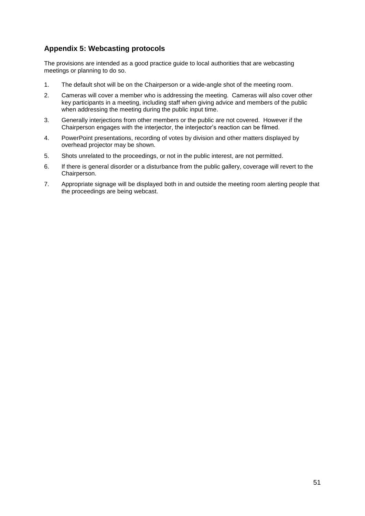## <span id="page-50-0"></span>**Appendix 5: Webcasting protocols**

The provisions are intended as a good practice guide to local authorities that are webcasting meetings or planning to do so.

- 1. The default shot will be on the Chairperson or a wide-angle shot of the meeting room.
- 2. Cameras will cover a member who is addressing the meeting. Cameras will also cover other key participants in a meeting, including staff when giving advice and members of the public when addressing the meeting during the public input time.
- 3. Generally interjections from other members or the public are not covered. However if the Chairperson engages with the interjector, the interjector's reaction can be filmed.
- 4. PowerPoint presentations, recording of votes by division and other matters displayed by overhead projector may be shown.
- 5. Shots unrelated to the proceedings, or not in the public interest, are not permitted.
- 6. If there is general disorder or a disturbance from the public gallery, coverage will revert to the Chairperson.
- 7. Appropriate signage will be displayed both in and outside the meeting room alerting people that the proceedings are being webcast.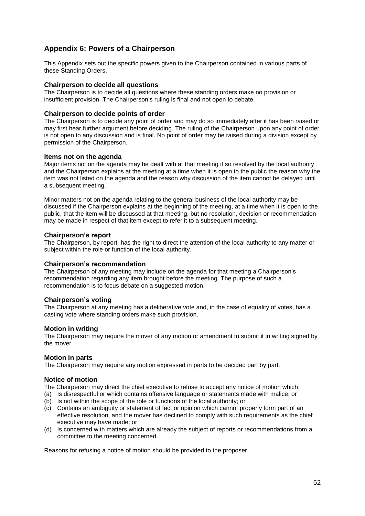## <span id="page-51-0"></span>**Appendix 6: Powers of a Chairperson**

This Appendix sets out the specific powers given to the Chairperson contained in various parts of these Standing Orders.

#### **Chairperson to decide all questions**

The Chairperson is to decide all questions where these standing orders make no provision or insufficient provision. The Chairperson's ruling is final and not open to debate.

#### **Chairperson to decide points of order**

The Chairperson is to decide any point of order and may do so immediately after it has been raised or may first hear further argument before deciding. The ruling of the Chairperson upon any point of order is not open to any discussion and is final. No point of order may be raised during a division except by permission of the Chairperson.

#### **Items not on the agenda**

Major items not on the agenda may be dealt with at that meeting if so resolved by the local authority and the Chairperson explains at the meeting at a time when it is open to the public the reason why the item was not listed on the agenda and the reason why discussion of the item cannot be delayed until a subsequent meeting.

Minor matters not on the agenda relating to the general business of the local authority may be discussed if the Chairperson explains at the beginning of the meeting, at a time when it is open to the public, that the item will be discussed at that meeting, but no resolution, decision or recommendation may be made in respect of that item except to refer it to a subsequent meeting.

#### **Chairperson's report**

The Chairperson, by report, has the right to direct the attention of the local authority to any matter or subject within the role or function of the local authority.

#### **Chairperson's recommendation**

The Chairperson of any meeting may include on the agenda for that meeting a Chairperson's recommendation regarding any item brought before the meeting. The purpose of such a recommendation is to focus debate on a suggested motion.

#### **Chairperson's voting**

The Chairperson at any meeting has a deliberative vote and, in the case of equality of votes, has a casting vote where standing orders make such provision.

#### **Motion in writing**

The Chairperson may require the mover of any motion or amendment to submit it in writing signed by the mover.

#### **Motion in parts**

The Chairperson may require any motion expressed in parts to be decided part by part.

#### **Notice of motion**

The Chairperson may direct the chief executive to refuse to accept any notice of motion which:

- (a) Is disrespectful or which contains offensive language or statements made with malice; or
- (b) Is not within the scope of the role or functions of the local authority; or
- (c) Contains an ambiguity or statement of fact or opinion which cannot properly form part of an effective resolution, and the mover has declined to comply with such requirements as the chief executive may have made; or
- (d) Is concerned with matters which are already the subject of reports or recommendations from a committee to the meeting concerned.

Reasons for refusing a notice of motion should be provided to the proposer.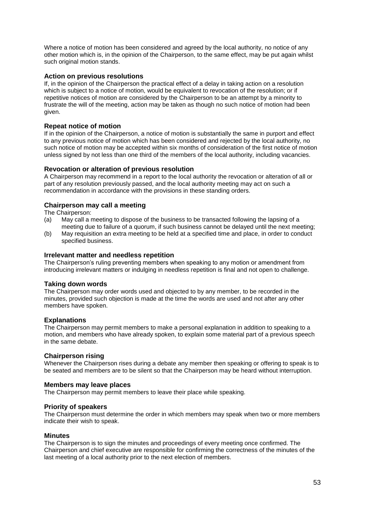Where a notice of motion has been considered and agreed by the local authority, no notice of any other motion which is, in the opinion of the Chairperson, to the same effect, may be put again whilst such original motion stands.

#### **Action on previous resolutions**

If, in the opinion of the Chairperson the practical effect of a delay in taking action on a resolution which is subject to a notice of motion, would be equivalent to revocation of the resolution; or if repetitive notices of motion are considered by the Chairperson to be an attempt by a minority to frustrate the will of the meeting, action may be taken as though no such notice of motion had been given.

#### **Repeat notice of motion**

If in the opinion of the Chairperson, a notice of motion is substantially the same in purport and effect to any previous notice of motion which has been considered and rejected by the local authority, no such notice of motion may be accepted within six months of consideration of the first notice of motion unless signed by not less than one third of the members of the local authority, including vacancies.

#### **Revocation or alteration of previous resolution**

A Chairperson may recommend in a report to the local authority the revocation or alteration of all or part of any resolution previously passed, and the local authority meeting may act on such a recommendation in accordance with the provisions in these standing orders.

#### **Chairperson may call a meeting**

The Chairperson:

- (a) May call a meeting to dispose of the business to be transacted following the lapsing of a meeting due to failure of a quorum, if such business cannot be delayed until the next meeting;
- (b) May requisition an extra meeting to be held at a specified time and place, in order to conduct specified business.

#### **Irrelevant matter and needless repetition**

The Chairperson's ruling preventing members when speaking to any motion or amendment from introducing irrelevant matters or indulging in needless repetition is final and not open to challenge.

#### **Taking down words**

The Chairperson may order words used and objected to by any member, to be recorded in the minutes, provided such objection is made at the time the words are used and not after any other members have spoken.

#### **Explanations**

The Chairperson may permit members to make a personal explanation in addition to speaking to a motion, and members who have already spoken, to explain some material part of a previous speech in the same debate.

#### **Chairperson rising**

Whenever the Chairperson rises during a debate any member then speaking or offering to speak is to be seated and members are to be silent so that the Chairperson may be heard without interruption.

#### **Members may leave places**

The Chairperson may permit members to leave their place while speaking.

#### **Priority of speakers**

The Chairperson must determine the order in which members may speak when two or more members indicate their wish to speak.

#### **Minutes**

The Chairperson is to sign the minutes and proceedings of every meeting once confirmed. The Chairperson and chief executive are responsible for confirming the correctness of the minutes of the last meeting of a local authority prior to the next election of members.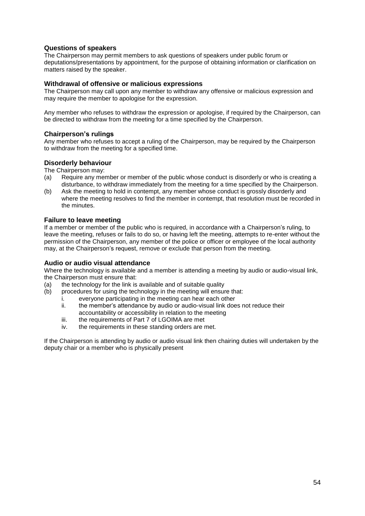#### **Questions of speakers**

The Chairperson may permit members to ask questions of speakers under public forum or deputations/presentations by appointment, for the purpose of obtaining information or clarification on matters raised by the speaker.

#### **Withdrawal of offensive or malicious expressions**

The Chairperson may call upon any member to withdraw any offensive or malicious expression and may require the member to apologise for the expression.

Any member who refuses to withdraw the expression or apologise, if required by the Chairperson, can be directed to withdraw from the meeting for a time specified by the Chairperson.

#### **Chairperson's rulings**

Any member who refuses to accept a ruling of the Chairperson, may be required by the Chairperson to withdraw from the meeting for a specified time.

#### **Disorderly behaviour**

The Chairperson may:

- (a) Require any member or member of the public whose conduct is disorderly or who is creating a disturbance, to withdraw immediately from the meeting for a time specified by the Chairperson.
- (b) Ask the meeting to hold in contempt, any member whose conduct is grossly disorderly and where the meeting resolves to find the member in contempt, that resolution must be recorded in the minutes.

#### **Failure to leave meeting**

If a member or member of the public who is required, in accordance with a Chairperson's ruling, to leave the meeting, refuses or fails to do so, or having left the meeting, attempts to re-enter without the permission of the Chairperson, any member of the police or officer or employee of the local authority may, at the Chairperson's request, remove or exclude that person from the meeting.

#### **Audio or audio visual attendance**

Where the technology is available and a member is attending a meeting by audio or audio-visual link, the Chairperson must ensure that:

- (a) the technology for the link is available and of suitable quality<br>(b) procedures for using the technology in the meeting will ensure
	- procedures for using the technology in the meeting will ensure that:
		- i. everyone participating in the meeting can hear each other
		- ii. the member's attendance by audio or audio-visual link does not reduce their accountability or accessibility in relation to the meeting
		- iii. the requirements of Part 7 of LGOIMA are met
		- iv. the requirements in these standing orders are met.

If the Chairperson is attending by audio or audio visual link then chairing duties will undertaken by the deputy chair or a member who is physically present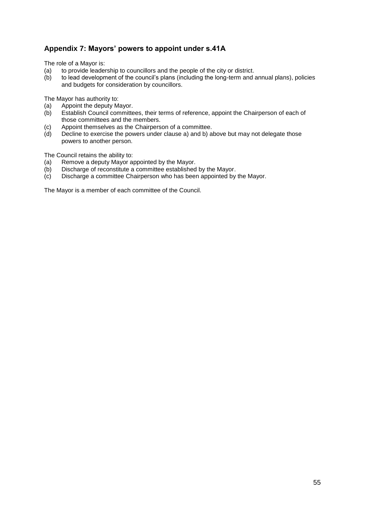## <span id="page-54-0"></span>**Appendix 7: Mayors' powers to appoint under s.41A**

The role of a Mayor is:

- (a) to provide leadership to councillors and the people of the city or district.
- (b) to lead development of the council's plans (including the long-term and annual plans), policies and budgets for consideration by councillors.

The Mayor has authority to:

- (a) Appoint the deputy Mayor.<br>(b) Establish Council committe
- Establish Council committees, their terms of reference, appoint the Chairperson of each of those committees and the members.
- (c) Appoint themselves as the Chairperson of a committee.
- (d) Decline to exercise the powers under clause a) and b) above but may not delegate those powers to another person.

The Council retains the ability to:

- (a) Remove a deputy Mayor appointed by the Mayor.
- (b) Discharge of reconstitute a committee established by the Mayor.
- (c) Discharge a committee Chairperson who has been appointed by the Mayor.

The Mayor is a member of each committee of the Council.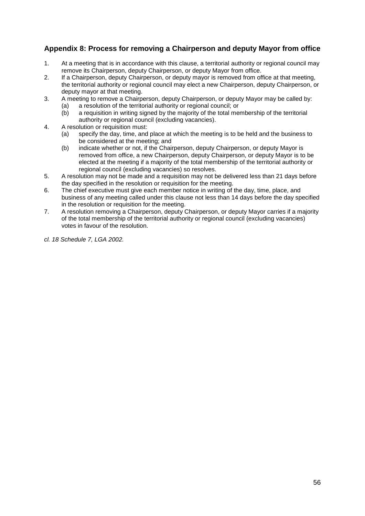## <span id="page-55-0"></span>**Appendix 8: Process for removing a Chairperson and deputy Mayor from office**

- 1. At a meeting that is in accordance with this clause, a territorial authority or regional council may remove its Chairperson, deputy Chairperson, or deputy Mayor from office.
- 2. If a Chairperson, deputy Chairperson, or deputy mayor is removed from office at that meeting, the territorial authority or regional council may elect a new Chairperson, deputy Chairperson, or deputy mayor at that meeting.
- 3. A meeting to remove a Chairperson, deputy Chairperson, or deputy Mayor may be called by:
	- (a) a resolution of the territorial authority or regional council; or
	- (b) a requisition in writing signed by the majority of the total membership of the territorial authority or regional council (excluding vacancies).
- 4. A resolution or requisition must:
	- (a) specify the day, time, and place at which the meeting is to be held and the business to be considered at the meeting; and
	- (b) indicate whether or not, if the Chairperson, deputy Chairperson, or deputy Mayor is removed from office, a new Chairperson, deputy Chairperson, or deputy Mayor is to be elected at the meeting if a majority of the total membership of the territorial authority or regional council (excluding vacancies) so resolves.
- 5. A resolution may not be made and a requisition may not be delivered less than 21 days before the day specified in the resolution or requisition for the meeting.
- 6. The chief executive must give each member notice in writing of the day, time, place, and business of any meeting called under this clause not less than 14 days before the day specified in the resolution or requisition for the meeting.
- 7. A resolution removing a Chairperson, deputy Chairperson, or deputy Mayor carries if a majority of the total membership of the territorial authority or regional council (excluding vacancies) votes in favour of the resolution.
- *cl. 18 Schedule 7, LGA 2002.*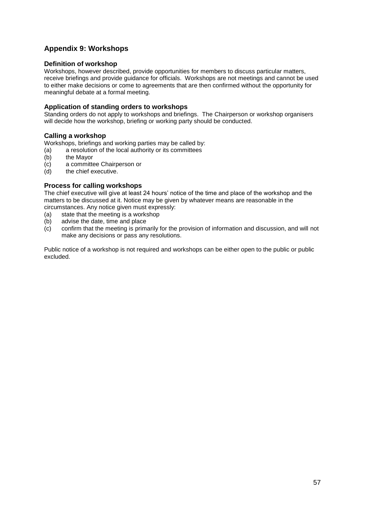## <span id="page-56-0"></span>**Appendix 9: Workshops**

#### **Definition of workshop**

Workshops, however described, provide opportunities for members to discuss particular matters, receive briefings and provide guidance for officials. Workshops are not meetings and cannot be used to either make decisions or come to agreements that are then confirmed without the opportunity for meaningful debate at a formal meeting.

#### **Application of standing orders to workshops**

Standing orders do not apply to workshops and briefings. The Chairperson or workshop organisers will decide how the workshop, briefing or working party should be conducted.

#### **Calling a workshop**

Workshops, briefings and working parties may be called by:

- (a) a resolution of the local authority or its committees<br>(b) the Mayor
- (b) the Mayor<br>(c) a committe
- a committee Chairperson or
- (d) the chief executive.

#### **Process for calling workshops**

The chief executive will give at least 24 hours' notice of the time and place of the workshop and the matters to be discussed at it. Notice may be given by whatever means are reasonable in the circumstances. Any notice given must expressly:

- (a) state that the meeting is a workshop
- (b) advise the date, time and place
- (c) confirm that the meeting is primarily for the provision of information and discussion, and will not make any decisions or pass any resolutions.

Public notice of a workshop is not required and workshops can be either open to the public or public excluded.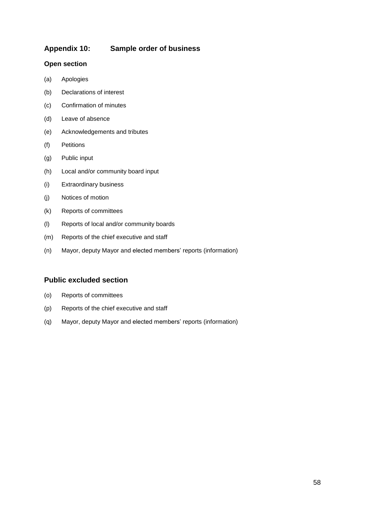## <span id="page-57-0"></span>**Appendix 10: Sample order of business**

#### **Open section**

- (a) Apologies
- (b) Declarations of interest
- (c) Confirmation of minutes
- (d) Leave of absence
- (e) Acknowledgements and tributes
- (f) Petitions
- (g) Public input
- (h) Local and/or community board input
- (i) Extraordinary business
- (j) Notices of motion
- (k) Reports of committees
- (l) Reports of local and/or community boards
- (m) Reports of the chief executive and staff
- (n) Mayor, deputy Mayor and elected members' reports (information)

## **Public excluded section**

- (o) Reports of committees
- (p) Reports of the chief executive and staff
- (q) Mayor, deputy Mayor and elected members' reports (information)